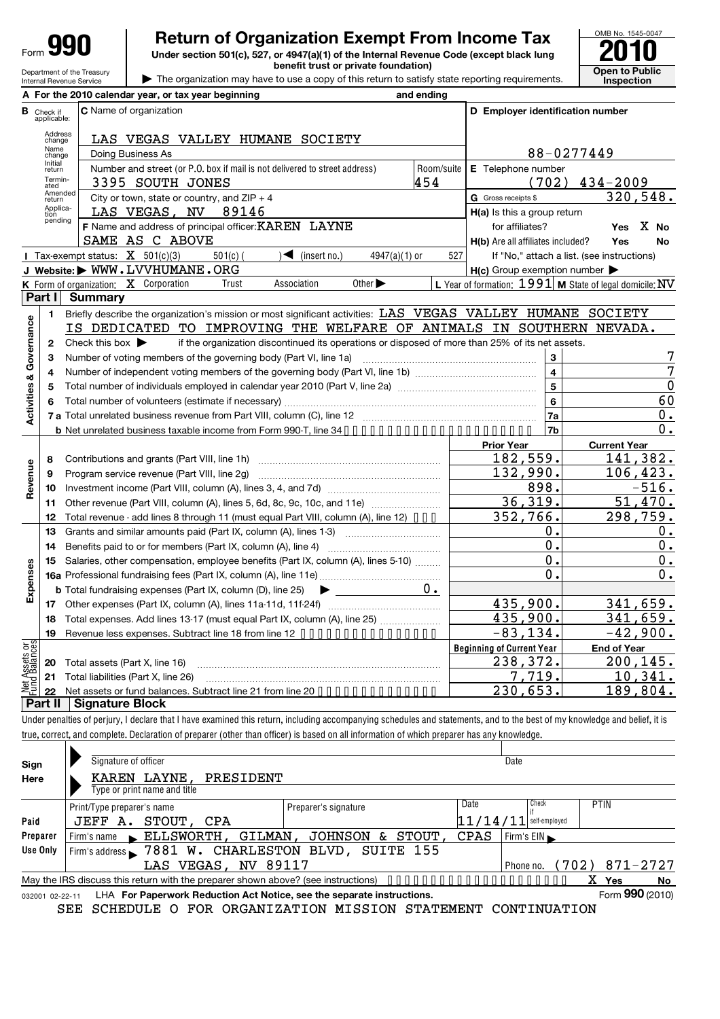# **Return of Organization Exempt From Income Tax**  $\overline{\text{901}}$ <br>Under section 501(c), 527, or 4947(a)(1) of the Internal Revenue Code (except black lung

**Under section 501(c), 527, or 4947(a)(1) of the Internal Revenue Code (except black lung benefit trust or private foundation) Open to Public** 



Department of the Treasury Internal Revenue Service  $\blacktriangleright$ The organization may have to use a copy of this return to satisfy state reporting requirements.

|                                |                                  | A For the 2010 calendar year, or tax year beginning<br>and ending                                                                                                          |            |                                                     |                                                         |
|--------------------------------|----------------------------------|----------------------------------------------------------------------------------------------------------------------------------------------------------------------------|------------|-----------------------------------------------------|---------------------------------------------------------|
|                                | <b>B</b> Check if<br>applicable: | C Name of organization                                                                                                                                                     |            | D Employer identification number                    |                                                         |
|                                | Address<br>change                | LAS VEGAS VALLEY HUMANE SOCIETY                                                                                                                                            |            |                                                     |                                                         |
|                                | Name<br>change                   | Doing Business As                                                                                                                                                          |            |                                                     | 88-0277449                                              |
|                                | Initial<br>return                | Number and street (or P.O. box if mail is not delivered to street address)                                                                                                 | Room/suite | E Telephone number                                  |                                                         |
|                                | Termin-<br>ated                  | 454<br>3395 SOUTH JONES                                                                                                                                                    |            |                                                     | $(702)$ 434-2009                                        |
|                                | Amended<br>return                | City or town, state or country, and $ZIP + 4$                                                                                                                              |            | <b>G</b> Gross receipts \$                          | 320,548.                                                |
|                                | Applica-<br>tion                 | LAS VEGAS, NV 89146                                                                                                                                                        |            | H(a) Is this a group return                         |                                                         |
|                                | pending                          | F Name and address of principal officer: KAREN LAYNE                                                                                                                       |            | for affiliates?                                     | X No<br>Yes                                             |
|                                |                                  | SAME AS C ABOVE                                                                                                                                                            |            | H(b) Are all affiliates included?                   | Yes<br>No                                               |
|                                |                                  | Tax-exempt status: $X$ 501(c)(3)<br>$\sqrt{\phantom{a}}$ (insert no.)<br>$501(c)$ (<br>$4947(a)(1)$ or                                                                     | 527        |                                                     | If "No," attach a list. (see instructions)              |
|                                |                                  | J Website: WWW.LVVHUMANE.ORG                                                                                                                                               |            | $H(c)$ Group exemption number $\blacktriangleright$ |                                                         |
|                                |                                  | K Form of organization: X Corporation<br>Association<br>Other $\blacktriangleright$<br>Trust                                                                               |            |                                                     | L Year of formation: 1991 M State of legal domicile: NV |
|                                | Part I                           | <b>Summary</b>                                                                                                                                                             |            |                                                     |                                                         |
|                                | 1.                               | Briefly describe the organization's mission or most significant activities: LAS VEGAS VALLEY HUMANE SOCIETY                                                                |            |                                                     |                                                         |
| Governance                     |                                  | IS DEDICATED TO IMPROVING THE WELFARE OF ANIMALS IN SOUTHERN NEVADA.                                                                                                       |            |                                                     |                                                         |
|                                | 2                                | if the organization discontinued its operations or disposed of more than 25% of its net assets.<br>Check this box $\blacktriangleright$                                    |            |                                                     |                                                         |
|                                | з                                | Number of voting members of the governing body (Part VI, line 1a)                                                                                                          |            | 3                                                   |                                                         |
| య                              | 4                                |                                                                                                                                                                            |            | $\overline{\mathbf{4}}$                             | 7                                                       |
| Activities                     | 5                                |                                                                                                                                                                            |            | $\overline{5}$                                      | $\mathbf 0$                                             |
|                                | 6                                |                                                                                                                                                                            |            | 6                                                   | 60                                                      |
|                                |                                  |                                                                                                                                                                            |            | 7a                                                  | 0.                                                      |
|                                |                                  |                                                                                                                                                                            |            | 7b                                                  | $0$ .                                                   |
|                                |                                  |                                                                                                                                                                            |            | <b>Prior Year</b>                                   | <b>Current Year</b>                                     |
|                                | 8                                |                                                                                                                                                                            |            | 182,559.                                            | 141,382.                                                |
| Revenue                        | 9                                | Program service revenue (Part VIII, line 2g)                                                                                                                               |            | 132,990.                                            | 106,423.                                                |
|                                | 10                               |                                                                                                                                                                            |            | 898.                                                | $-516.$                                                 |
|                                | 11                               | Other revenue (Part VIII, column (A), lines 5, 6d, 8c, 9c, 10c, and 11e)                                                                                                   |            | 36,319.                                             | 51,470.                                                 |
|                                | 12                               | Total revenue - add lines 8 through 11 (must equal Part VIII, column (A), line 12) • • • •                                                                                 |            | 352,766.                                            | 298,759.                                                |
|                                | 13                               | Grants and similar amounts paid (Part IX, column (A), lines 1-3) <i></i>                                                                                                   |            | 0.<br>0.                                            | 0.                                                      |
|                                | 14                               | Benefits paid to or for members (Part IX, column (A), line 4)                                                                                                              |            | 0.                                                  | 0.                                                      |
|                                | 15                               | Salaries, other compensation, employee benefits (Part IX, column (A), lines 5-10)                                                                                          |            | $\mathbf 0$ .                                       | 0.<br>0.                                                |
| Expenses                       |                                  | <b>b</b> Total fundraising expenses (Part IX, column (D), line 25)                                                                                                         | 0.         |                                                     |                                                         |
|                                |                                  |                                                                                                                                                                            |            | 435,900.                                            | 341,659.                                                |
|                                |                                  | 18 Total expenses. Add lines 13-17 (must equal Part IX, column (A), line 25)                                                                                               |            | 435,900.                                            | 341,659.                                                |
|                                | 19                               | Revenue less expenses. Subtract line 18 from line 12 ••••••••••••••••••                                                                                                    |            | <u>-83,134.</u>                                     | $-42,900.$                                              |
|                                |                                  |                                                                                                                                                                            |            | <b>Beginning of Current Year</b>                    | <b>End of Year</b>                                      |
| Net Assets or<br>Fund Balances | 20                               | Total assets (Part X, line 16)                                                                                                                                             |            | 238,372.                                            | 200,145.                                                |
|                                | 21                               | Total liabilities (Part X, line 26)                                                                                                                                        |            | <u>7,719.</u>                                       | <u> 10,341.</u>                                         |
|                                | 22                               | Net assets or fund balances. Subtract line 21 from line 20 • • • • • • • • • • • • • • •                                                                                   |            | <u>230,653.</u>                                     | 189,804.                                                |
|                                | Part II                          | <b>Signature Block</b>                                                                                                                                                     |            |                                                     |                                                         |
|                                |                                  | Under penalties of perjury, I declare that I have examined this return, including accompanying schedules and statements, and to the best of my knowledge and belief, it is |            |                                                     |                                                         |
|                                |                                  | true, correct, and complete. Declaration of preparer (other than officer) is based on all information of which preparer has any knowledge.                                 |            |                                                     |                                                         |
|                                |                                  |                                                                                                                                                                            |            |                                                     |                                                         |
| Sign                           |                                  | Signature of officer                                                                                                                                                       |            | Date                                                |                                                         |
| Here                           |                                  | KAREN LAYNE,<br>PRESIDENT                                                                                                                                                  |            |                                                     |                                                         |
|                                |                                  | Type or print name and title                                                                                                                                               |            |                                                     |                                                         |

Check if self-employed 032001 02-22-11 **Paid Preparer Use Only** Yes No LHA For Paperwork Reduction Act Notice, see the separate instructions. Form 990 (2010) Print/Type preparer's name Preparer's signature Print/Type preparer's name Print/Type preparer's name Firm's name **FILSWORTH, GILMAN, JOHNSON & STOUT, CPAS** Firm's EIN Firm's address Phone no. May the IRS discuss this return with the preparer shown above? (see instructions) Form **990** (2010) JEFF A. STOUT, CPA 11/14/11 7881 W. CHARLESTON BLVD, SUITE 155 LAS VEGAS, NV 89117 (Phone no. (702) 871-2727 X

SEE SCHEDULE O FOR ORGANIZATION MISSION STATEMENT CONTINUATION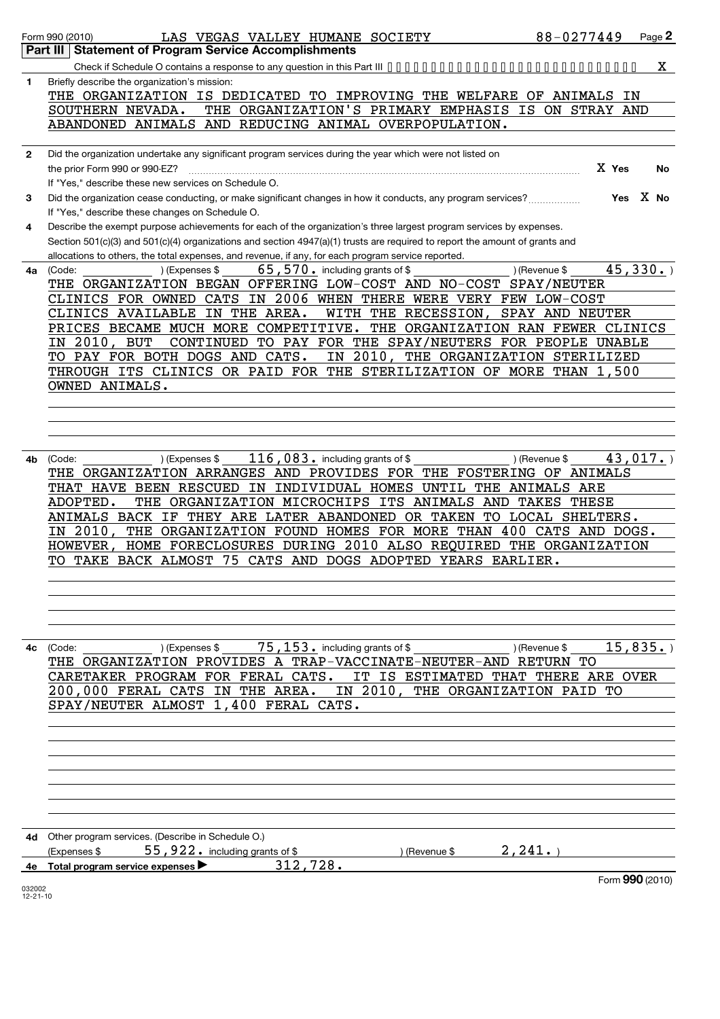|              | 88-0277449<br>Form 990 (2010)<br>LAS VEGAS VALLEY HUMANE SOCIETY                                                            | Page 2 |
|--------------|-----------------------------------------------------------------------------------------------------------------------------|--------|
|              | Part III   Statement of Program Service Accomplishments                                                                     |        |
|              | Check if Schedule O contains a response to any question in this Part III                                                    | X.     |
|              | Briefly describe the organization's mission:                                                                                |        |
| 1            |                                                                                                                             |        |
|              | THE ORGANIZATION IS DEDICATED TO IMPROVING THE WELFARE OF ANIMALS IN                                                        |        |
|              | THE ORGANIZATION'S PRIMARY EMPHASIS<br>SOUTHERN NEVADA.<br>IS<br>ON STRAY AND                                               |        |
|              | ABANDONED ANIMALS<br>AND REDUCING ANIMAL OVERPOPULATION.                                                                    |        |
|              |                                                                                                                             |        |
| $\mathbf{2}$ | Did the organization undertake any significant program services during the year which were not listed on                    |        |
|              | X Yes<br>the prior Form 990 or 990-EZ?                                                                                      | No     |
|              | If "Yes," describe these new services on Schedule O.                                                                        |        |
|              | Yes X No<br>Did the organization cease conducting, or make significant changes in how it conducts, any program services?    |        |
| 3            |                                                                                                                             |        |
|              | If "Yes," describe these changes on Schedule O.                                                                             |        |
| 4            | Describe the exempt purpose achievements for each of the organization's three largest program services by expenses.         |        |
|              | Section 501(c)(3) and 501(c)(4) organizations and section 4947(a)(1) trusts are required to report the amount of grants and |        |
|              | allocations to others, the total expenses, and revenue, if any, for each program service reported.                          |        |
| 4a           | 45,330.<br>$65, 570$ . including grants of \$<br>(Code:<br>) (Expenses \$<br>) (Revenue \$                                  |        |
|              | THE ORGANIZATION BEGAN OFFERING LOW-COST AND NO-COST SPAY/NEUTER                                                            |        |
|              | IN 2006 WHEN THERE WERE VERY FEW LOW-COST<br>CLINICS FOR OWNED CATS                                                         |        |
|              | CLINICS AVAILABLE<br>IN THE AREA.<br>WITH THE RECESSION,<br>SPAY AND NEUTER                                                 |        |
|              | PRICES BECAME MUCH MORE COMPETITIVE.<br>THE ORGANIZATION RAN FEWER CLINICS                                                  |        |
|              |                                                                                                                             |        |
|              | 2010,<br>TO PAY FOR THE SPAY/NEUTERS FOR PEOPLE UNABLE<br>BUT<br>CONTINUED<br>IN.                                           |        |
|              | IN 2010,<br>PAY FOR BOTH DOGS AND CATS.<br>THE ORGANIZATION STERILIZED<br>TO.                                               |        |
|              | THROUGH ITS CLINICS OR PAID FOR<br>THE STERILIZATION OF MORE THAN 1,500                                                     |        |
|              | OWNED ANIMALS.                                                                                                              |        |
|              |                                                                                                                             |        |
|              |                                                                                                                             |        |
|              |                                                                                                                             |        |
|              |                                                                                                                             |        |
| 4b           | 116, 083. including grants of \$<br>43,017.<br>) (Expenses \$<br>) (Revenue \$<br>(Code:                                    |        |
|              |                                                                                                                             |        |
|              | THE ORGANIZATION ARRANGES AND PROVIDES FOR THE FOSTERING OF ANIMALS                                                         |        |
|              | ΙN<br>INDIVIDUAL HOMES UNTIL<br><b>ANIMALS ARE</b><br>THAT HAVE BEEN RESCUED<br>THE                                         |        |
|              | ADOPTED.<br>THE ORGANIZATION MICROCHIPS ITS ANIMALS AND<br><b>TAKES THESE</b>                                               |        |
|              | ANIMALS BACK IF THEY ARE LATER ABANDONED OR TAKEN<br>TO LOCAL SHELTERS.                                                     |        |
|              | $2010$ ,<br>THE ORGANIZATION FOUND HOMES FOR MORE THAN 400 CATS AND DOGS.<br>IΝ                                             |        |
|              | HOME FORECLOSURES DURING 2010 ALSO REQUIRED THE ORGANIZATION<br><b>HOWEVER</b>                                              |        |
|              | TO TAKE BACK ALMOST 75 CATS AND DOGS ADOPTED YEARS EARLIER.                                                                 |        |
|              |                                                                                                                             |        |
|              |                                                                                                                             |        |
|              |                                                                                                                             |        |
|              |                                                                                                                             |        |
|              |                                                                                                                             |        |
|              |                                                                                                                             |        |
|              |                                                                                                                             |        |
|              | THE ORGANIZATION PROVIDES A TRAP-VACCINATE-NEUTER-AND RETURN TO                                                             |        |
|              | CARETAKER PROGRAM FOR FERAL CATS. IT IS ESTIMATED THAT THERE ARE OVER                                                       |        |
|              | 200,000 FERAL CATS IN THE AREA. IN 2010, THE ORGANIZATION PAID TO                                                           |        |
|              | SPAY/NEUTER ALMOST 1,400 FERAL CATS.                                                                                        |        |
|              |                                                                                                                             |        |
|              |                                                                                                                             |        |
|              |                                                                                                                             |        |
|              |                                                                                                                             |        |
|              |                                                                                                                             |        |
|              |                                                                                                                             |        |
|              |                                                                                                                             |        |
|              |                                                                                                                             |        |
|              |                                                                                                                             |        |

|    | 4d Other program services. (Describe in Schedule O.)             |               |       |                 |
|----|------------------------------------------------------------------|---------------|-------|-----------------|
|    | 55, 922. including grants of $\$$<br>(Expenses \$                | ) (Revenue \$ | .241. |                 |
| 4е | 312,728.<br>Total program service expenses $\blacktriangleright$ |               |       |                 |
|    |                                                                  |               |       | Form 990 (2010) |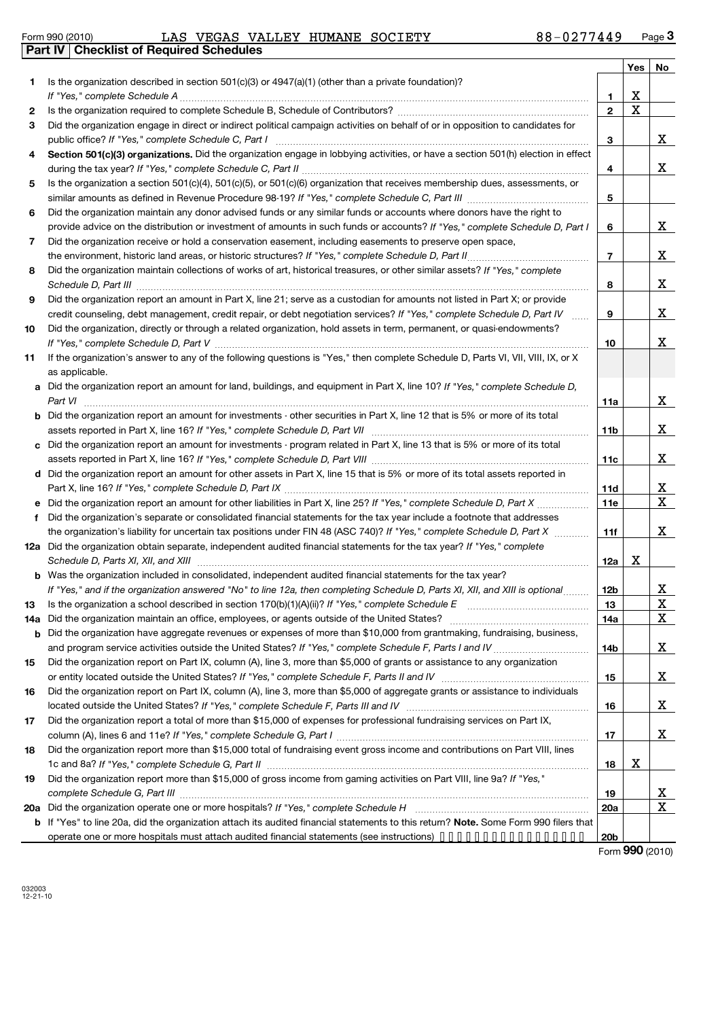|  | Form 990 (2010) |  |
|--|-----------------|--|
|  |                 |  |

Form 990 (2010) LAS VEGAS VALLEY HUMANE SOCIETY 88-0 277449 Page **Part IV Checklist of Required Schedules** LAS VEGAS VALLEY HUMANE SOCIETY 88-0277449

|          |                                                                                                                                                                                                                                   |                 | Yes | No                           |
|----------|-----------------------------------------------------------------------------------------------------------------------------------------------------------------------------------------------------------------------------------|-----------------|-----|------------------------------|
| 1        | Is the organization described in section $501(c)(3)$ or $4947(a)(1)$ (other than a private foundation)?                                                                                                                           |                 |     |                              |
|          |                                                                                                                                                                                                                                   | 1               | х   |                              |
| 2        |                                                                                                                                                                                                                                   | $\mathbf{2}$    | X   |                              |
| 3        | Did the organization engage in direct or indirect political campaign activities on behalf of or in opposition to candidates for                                                                                                   |                 |     |                              |
|          |                                                                                                                                                                                                                                   | 3               |     | X                            |
| 4        | Section 501(c)(3) organizations. Did the organization engage in lobbying activities, or have a section 501(h) election in effect                                                                                                  |                 |     |                              |
|          |                                                                                                                                                                                                                                   | 4               |     | X                            |
| 5        | Is the organization a section 501(c)(4), 501(c)(5), or 501(c)(6) organization that receives membership dues, assessments, or                                                                                                      |                 |     |                              |
|          |                                                                                                                                                                                                                                   | 5               |     |                              |
| 6        | Did the organization maintain any donor advised funds or any similar funds or accounts where donors have the right to                                                                                                             |                 |     |                              |
|          | provide advice on the distribution or investment of amounts in such funds or accounts? If "Yes," complete Schedule D, Part I                                                                                                      | 6               |     | X                            |
| 7        | Did the organization receive or hold a conservation easement, including easements to preserve open space,                                                                                                                         |                 |     |                              |
|          |                                                                                                                                                                                                                                   | $\overline{7}$  |     | X                            |
| 8        | Did the organization maintain collections of works of art, historical treasures, or other similar assets? If "Yes," complete                                                                                                      | 8               |     | X                            |
| 9        | Did the organization report an amount in Part X, line 21; serve as a custodian for amounts not listed in Part X; or provide                                                                                                       |                 |     |                              |
|          | credit counseling, debt management, credit repair, or debt negotiation services? If "Yes," complete Schedule D, Part IV                                                                                                           | 9               |     | X                            |
| 10       | Did the organization, directly or through a related organization, hold assets in term, permanent, or quasi-endowments?                                                                                                            |                 |     |                              |
| 11       | If the organization's answer to any of the following questions is "Yes," then complete Schedule D, Parts VI, VII, VIII, IX, or X                                                                                                  | 10              |     | X                            |
|          | as applicable.                                                                                                                                                                                                                    |                 |     |                              |
|          | a Did the organization report an amount for land, buildings, and equipment in Part X, line 10? If "Yes," complete Schedule D,                                                                                                     |                 |     |                              |
|          | Part VI                                                                                                                                                                                                                           | 11a             |     | X                            |
|          | <b>b</b> Did the organization report an amount for investments - other securities in Part X, line 12 that is 5% or more of its total                                                                                              |                 |     |                              |
|          |                                                                                                                                                                                                                                   | 11 <sub>b</sub> |     | X                            |
| c        | Did the organization report an amount for investments - program related in Part X, line 13 that is 5% or more of its total                                                                                                        |                 |     |                              |
|          |                                                                                                                                                                                                                                   | 11c             |     | x                            |
|          | d Did the organization report an amount for other assets in Part X, line 15 that is 5% or more of its total assets reported in                                                                                                    |                 |     |                              |
|          |                                                                                                                                                                                                                                   | 11d             |     | X                            |
|          | e Did the organization report an amount for other liabilities in Part X, line 25? If "Yes," complete Schedule D, Part X                                                                                                           | <b>11e</b>      |     | X                            |
| f        | Did the organization's separate or consolidated financial statements for the tax year include a footnote that addresses                                                                                                           |                 |     |                              |
|          | the organization's liability for uncertain tax positions under FIN 48 (ASC 740)? If "Yes," complete Schedule D, Part X                                                                                                            | 11f             |     | X                            |
|          | 12a Did the organization obtain separate, independent audited financial statements for the tax year? If "Yes," complete                                                                                                           |                 |     |                              |
|          | Schedule D, Parts XI, XII, and XIII manufactured and the context of the state of the state of the state of the                                                                                                                    | 12a             | Χ   |                              |
|          | <b>b</b> Was the organization included in consolidated, independent audited financial statements for the tax year?                                                                                                                |                 |     |                              |
|          | If "Yes," and if the organization answered "No" to line 12a, then completing Schedule D, Parts XI, XII, and XIII is optional<br>Is the organization a school described in section 170(b)(1)(A)(ii)? If "Yes," complete Schedule E | 12b             |     | X.                           |
| 13       | Did the organization maintain an office, employees, or agents outside of the United States?                                                                                                                                       | 13              |     | $\overline{\mathbf{X}}$<br>X |
| 14a<br>b | Did the organization have aggregate revenues or expenses of more than \$10,000 from grantmaking, fundraising, business,                                                                                                           | 14a             |     |                              |
|          |                                                                                                                                                                                                                                   | 14b             |     | X                            |
| 15       | Did the organization report on Part IX, column (A), line 3, more than \$5,000 of grants or assistance to any organization                                                                                                         |                 |     |                              |
|          |                                                                                                                                                                                                                                   | 15              |     | X                            |
| 16       | Did the organization report on Part IX, column (A), line 3, more than \$5,000 of aggregate grants or assistance to individuals                                                                                                    |                 |     |                              |
|          |                                                                                                                                                                                                                                   | 16              |     | X                            |
| 17       | Did the organization report a total of more than \$15,000 of expenses for professional fundraising services on Part IX,                                                                                                           |                 |     |                              |
|          |                                                                                                                                                                                                                                   | 17              |     | X                            |
| 18       | Did the organization report more than \$15,000 total of fundraising event gross income and contributions on Part VIII, lines                                                                                                      |                 |     |                              |
|          |                                                                                                                                                                                                                                   | 18              | х   |                              |
| 19       | Did the organization report more than \$15,000 of gross income from gaming activities on Part VIII, line 9a? If "Yes,"                                                                                                            |                 |     |                              |
|          |                                                                                                                                                                                                                                   | 19              |     | <u>x</u>                     |
| 20a      |                                                                                                                                                                                                                                   | 20a             |     | X                            |
|          | b If "Yes" to line 20a, did the organization attach its audited financial statements to this return? Note. Some Form 990 filers that                                                                                              |                 |     |                              |
|          | operate one or more hospitals must attach audited financial statements (see instructions)                                                                                                                                         | 20 <sub>b</sub> |     |                              |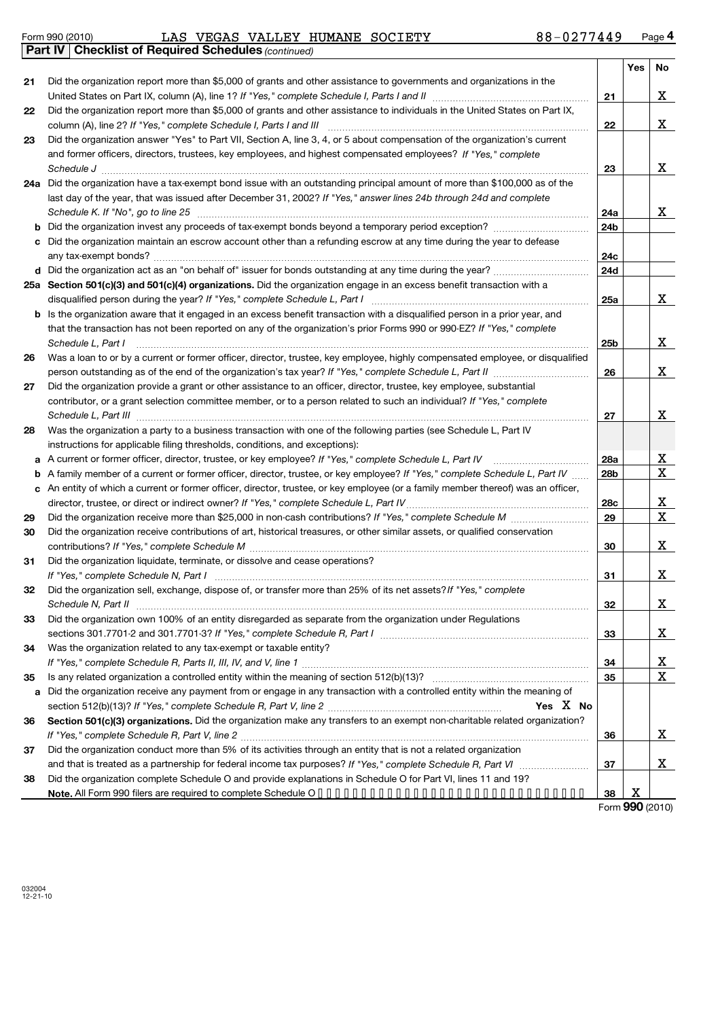**Part IV Checklist of Required Schedules**

Form 990 (2010) LAS VEGAS VALLEY HUMANE SOCIETY 88-0 277449 Page LAS VEGAS VALLEY HUMANE SOCIETY 88-0277449

*(continued)*

|    |                                                                                                                                   |                 | Yes                  | No          |
|----|-----------------------------------------------------------------------------------------------------------------------------------|-----------------|----------------------|-------------|
| 21 | Did the organization report more than \$5,000 of grants and other assistance to governments and organizations in the              |                 |                      |             |
|    |                                                                                                                                   | 21              |                      | Χ           |
| 22 | Did the organization report more than \$5,000 of grants and other assistance to individuals in the United States on Part IX,      |                 |                      |             |
|    |                                                                                                                                   | 22              |                      | Χ           |
| 23 | Did the organization answer "Yes" to Part VII, Section A, line 3, 4, or 5 about compensation of the organization's current        |                 |                      |             |
|    | and former officers, directors, trustees, key employees, and highest compensated employees? If "Yes," complete                    |                 |                      |             |
|    |                                                                                                                                   | 23              |                      | X           |
|    | 24a Did the organization have a tax-exempt bond issue with an outstanding principal amount of more than \$100,000 as of the       |                 |                      |             |
|    | last day of the year, that was issued after December 31, 2002? If "Yes," answer lines 24b through 24d and complete                |                 |                      |             |
|    |                                                                                                                                   | 24a             |                      | x           |
| b  |                                                                                                                                   | 24b             |                      |             |
| c  | Did the organization maintain an escrow account other than a refunding escrow at any time during the year to defease              |                 |                      |             |
|    |                                                                                                                                   | 24c             |                      |             |
|    | d Did the organization act as an "on behalf of" issuer for bonds outstanding at any time during the year?                         | 24d             |                      |             |
|    | 25a Section 501(c)(3) and 501(c)(4) organizations. Did the organization engage in an excess benefit transaction with a            |                 |                      |             |
|    |                                                                                                                                   | 25a             |                      | X           |
|    | b Is the organization aware that it engaged in an excess benefit transaction with a disqualified person in a prior year, and      |                 |                      |             |
|    | that the transaction has not been reported on any of the organization's prior Forms 990 or 990-EZ? If "Yes," complete             |                 |                      |             |
|    | Schedule L, Part I                                                                                                                | 25 <sub>b</sub> |                      | X           |
| 26 | Was a loan to or by a current or former officer, director, trustee, key employee, highly compensated employee, or disqualified    |                 |                      |             |
|    | person outstanding as of the end of the organization's tax year? If "Yes," complete Schedule L, Part II manumum                   | 26              |                      | X           |
| 27 | Did the organization provide a grant or other assistance to an officer, director, trustee, key employee, substantial              |                 |                      |             |
|    | contributor, or a grant selection committee member, or to a person related to such an individual? If "Yes," complete              |                 |                      |             |
|    |                                                                                                                                   | 27              |                      | X           |
| 28 | Was the organization a party to a business transaction with one of the following parties (see Schedule L, Part IV                 |                 |                      |             |
|    | instructions for applicable filing thresholds, conditions, and exceptions):                                                       |                 |                      |             |
| a  | A current or former officer, director, trustee, or key employee? If "Yes," complete Schedule L, Part IV                           | 28a             |                      | <u>x</u>    |
|    | b A family member of a current or former officer, director, trustee, or key employee? If "Yes," complete Schedule L, Part IV      | 28b             |                      | $\mathbf X$ |
|    | c An entity of which a current or former officer, director, trustee, or key employee (or a family member thereof) was an officer, |                 |                      |             |
|    |                                                                                                                                   | 28c             |                      | X           |
| 29 |                                                                                                                                   | 29              |                      | X           |
| 30 | Did the organization receive contributions of art, historical treasures, or other similar assets, or qualified conservation       |                 |                      |             |
|    |                                                                                                                                   | 30              |                      | X           |
| 31 | Did the organization liquidate, terminate, or dissolve and cease operations?                                                      |                 |                      |             |
|    |                                                                                                                                   | 31              |                      | X           |
| 32 | Did the organization sell, exchange, dispose of, or transfer more than 25% of its net assets? If "Yes," complete                  |                 |                      |             |
|    |                                                                                                                                   | 32              |                      | X           |
| 33 | Did the organization own 100% of an entity disregarded as separate from the organization under Regulations                        |                 |                      |             |
|    |                                                                                                                                   | 33              |                      | х           |
| 34 | Was the organization related to any tax-exempt or taxable entity?                                                                 |                 |                      |             |
|    |                                                                                                                                   | 34              |                      | <u>x</u>    |
| 35 |                                                                                                                                   | 35              |                      | X           |
| a  | Did the organization receive any payment from or engage in any transaction with a controlled entity within the meaning of         |                 |                      |             |
|    | Yes X No                                                                                                                          |                 |                      |             |
| 36 | Section 501(c)(3) organizations. Did the organization make any transfers to an exempt non-charitable related organization?        |                 |                      |             |
|    |                                                                                                                                   | 36              |                      | x           |
| 37 | Did the organization conduct more than 5% of its activities through an entity that is not a related organization                  |                 |                      |             |
|    |                                                                                                                                   | 37              |                      | х           |
| 38 | Did the organization complete Schedule O and provide explanations in Schedule O for Part VI, lines 11 and 19?                     |                 |                      |             |
|    |                                                                                                                                   | 38              | x<br>$000 \times 20$ |             |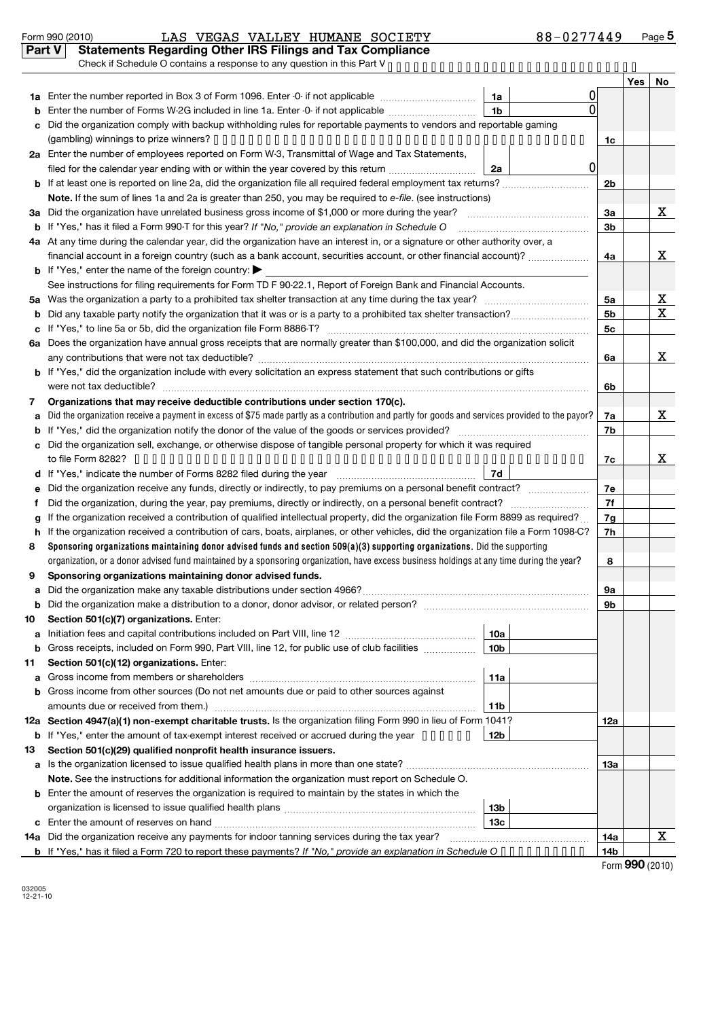#### Form 990 (2010) LAS VEGAS VALLEY HUMANE SOCIETY 88-0 277449 Page LAS VEGAS VALLEY HUMANE SOCIETY 88-0277449

**Part V Statements Regarding Other IRS Filings and Tax Compliance**

|        | Check if Schedule O contains a response to any question in this Part V.                                                                                                                                                                                           |                 |                |            |             |  |  |  |  |  |
|--------|-------------------------------------------------------------------------------------------------------------------------------------------------------------------------------------------------------------------------------------------------------------------|-----------------|----------------|------------|-------------|--|--|--|--|--|
|        |                                                                                                                                                                                                                                                                   |                 |                | <b>Yes</b> | No          |  |  |  |  |  |
|        | 1a Enter the number reported in Box 3 of Form 1096. Enter -0- if not applicable                                                                                                                                                                                   | 1a              |                |            |             |  |  |  |  |  |
|        | Enter the number of Forms W-2G included in line 1a. Enter -0- if not applicable                                                                                                                                                                                   | 1 <sub>b</sub>  |                |            |             |  |  |  |  |  |
| C      | Did the organization comply with backup withholding rules for reportable payments to vendors and reportable gaming                                                                                                                                                |                 |                |            |             |  |  |  |  |  |
|        | 1c                                                                                                                                                                                                                                                                |                 |                |            |             |  |  |  |  |  |
|        | 2a Enter the number of employees reported on Form W-3, Transmittal of Wage and Tax Statements,                                                                                                                                                                    |                 |                |            |             |  |  |  |  |  |
|        | $\overline{0}$<br>filed for the calendar year ending with or within the year covered by this return <i>manumumumum</i><br>2a                                                                                                                                      |                 |                |            |             |  |  |  |  |  |
|        |                                                                                                                                                                                                                                                                   |                 |                |            |             |  |  |  |  |  |
|        | Note. If the sum of lines 1a and 2a is greater than 250, you may be required to e-file. (see instructions)                                                                                                                                                        |                 |                |            |             |  |  |  |  |  |
|        | 3a Did the organization have unrelated business gross income of \$1,000 or more during the year?                                                                                                                                                                  |                 | За             |            | х           |  |  |  |  |  |
|        | <b>b</b> If "Yes," has it filed a Form 990-T for this year? If "No," provide an explanation in Schedule O                                                                                                                                                         |                 | 3 <sub>b</sub> |            |             |  |  |  |  |  |
|        | 4a At any time during the calendar year, did the organization have an interest in, or a signature or other authority over, a                                                                                                                                      |                 |                |            |             |  |  |  |  |  |
|        | financial account in a foreign country (such as a bank account, securities account, or other financial account)?                                                                                                                                                  |                 | 4a             |            | х           |  |  |  |  |  |
|        | <b>b</b> If "Yes," enter the name of the foreign country: $\blacktriangleright$                                                                                                                                                                                   |                 |                |            |             |  |  |  |  |  |
|        | See instructions for filing requirements for Form TD F 90-22.1, Report of Foreign Bank and Financial Accounts.                                                                                                                                                    |                 |                |            |             |  |  |  |  |  |
| 5a     |                                                                                                                                                                                                                                                                   |                 | 5а             |            | х           |  |  |  |  |  |
|        |                                                                                                                                                                                                                                                                   |                 | 5 <sub>b</sub> |            | $\mathbf X$ |  |  |  |  |  |
| c      |                                                                                                                                                                                                                                                                   |                 | 5c             |            |             |  |  |  |  |  |
|        | 6a Does the organization have annual gross receipts that are normally greater than \$100,000, and did the organization solicit                                                                                                                                    |                 |                |            |             |  |  |  |  |  |
|        |                                                                                                                                                                                                                                                                   |                 | 6a             |            | х           |  |  |  |  |  |
|        | b If "Yes," did the organization include with every solicitation an express statement that such contributions or gifts                                                                                                                                            |                 |                |            |             |  |  |  |  |  |
|        |                                                                                                                                                                                                                                                                   |                 | 6b             |            |             |  |  |  |  |  |
| 7      | Organizations that may receive deductible contributions under section 170(c).                                                                                                                                                                                     |                 |                |            |             |  |  |  |  |  |
| a      | Did the organization receive a payment in excess of \$75 made partly as a contribution and partly for goods and services provided to the payor?                                                                                                                   |                 | 7a             |            | Χ           |  |  |  |  |  |
|        |                                                                                                                                                                                                                                                                   |                 | 7b             |            |             |  |  |  |  |  |
| c      | Did the organization sell, exchange, or otherwise dispose of tangible personal property for which it was required                                                                                                                                                 |                 | 7c             |            | X           |  |  |  |  |  |
|        |                                                                                                                                                                                                                                                                   |                 |                |            |             |  |  |  |  |  |
|        | If "Yes," indicate the number of Forms 8282 filed during the year <i>[[[[[[[[[[[[[[]]]</i> ]]                                                                                                                                                                     | 7d              |                |            |             |  |  |  |  |  |
| е      | Did the organization receive any funds, directly or indirectly, to pay premiums on a personal benefit contract?                                                                                                                                                   |                 | 7e             |            |             |  |  |  |  |  |
| t      | Did the organization, during the year, pay premiums, directly or indirectly, on a personal benefit contract?                                                                                                                                                      |                 | 7f             |            |             |  |  |  |  |  |
| g      | If the organization received a contribution of qualified intellectual property, did the organization file Form 8899 as required?                                                                                                                                  |                 | 7g             |            |             |  |  |  |  |  |
| h<br>8 | If the organization received a contribution of cars, boats, airplanes, or other vehicles, did the organization file a Form 1098-C?<br>Sponsoring organizations maintaining donor advised funds and section 509(a)(3) supporting organizations. Did the supporting |                 | 7h             |            |             |  |  |  |  |  |
|        | organization, or a donor advised fund maintained by a sponsoring organization, have excess business holdings at any time during the year?                                                                                                                         |                 | 8              |            |             |  |  |  |  |  |
| 9      | Sponsoring organizations maintaining donor advised funds.                                                                                                                                                                                                         |                 |                |            |             |  |  |  |  |  |
| a      |                                                                                                                                                                                                                                                                   |                 | 9а             |            |             |  |  |  |  |  |
|        |                                                                                                                                                                                                                                                                   |                 | 9b             |            |             |  |  |  |  |  |
| 10     | Section 501(c)(7) organizations. Enter:                                                                                                                                                                                                                           |                 |                |            |             |  |  |  |  |  |
| a      |                                                                                                                                                                                                                                                                   | 10a             |                |            |             |  |  |  |  |  |
|        | <b>b</b> Gross receipts, included on Form 990, Part VIII, line 12, for public use of club facilities <i>manimum</i>                                                                                                                                               | 10 <sub>b</sub> |                |            |             |  |  |  |  |  |
| 11     | Section 501(c)(12) organizations. Enter:                                                                                                                                                                                                                          |                 |                |            |             |  |  |  |  |  |
| a      |                                                                                                                                                                                                                                                                   | 11a             |                |            |             |  |  |  |  |  |
|        | b Gross income from other sources (Do not net amounts due or paid to other sources against                                                                                                                                                                        |                 |                |            |             |  |  |  |  |  |
|        | amounts due or received from them.)                                                                                                                                                                                                                               | 11b             |                |            |             |  |  |  |  |  |
|        | 12a Section 4947(a)(1) non-exempt charitable trusts. Is the organization filing Form 990 in lieu of Form 1041?                                                                                                                                                    |                 | 12a            |            |             |  |  |  |  |  |
|        | <b>b</b> If "Yes," enter the amount of tax-exempt interest received or accrued during the year ••••••                                                                                                                                                             | 12b             |                |            |             |  |  |  |  |  |
| 13     | Section 501(c)(29) qualified nonprofit health insurance issuers.                                                                                                                                                                                                  |                 |                |            |             |  |  |  |  |  |
|        | a Is the organization licensed to issue qualified health plans in more than one state?                                                                                                                                                                            |                 |                |            |             |  |  |  |  |  |
|        | Note. See the instructions for additional information the organization must report on Schedule O.                                                                                                                                                                 |                 |                |            |             |  |  |  |  |  |
|        | <b>b</b> Enter the amount of reserves the organization is required to maintain by the states in which the                                                                                                                                                         |                 |                |            |             |  |  |  |  |  |
|        |                                                                                                                                                                                                                                                                   | 13 <sub>b</sub> |                |            |             |  |  |  |  |  |
|        |                                                                                                                                                                                                                                                                   | 13c             |                |            |             |  |  |  |  |  |
|        | 14a Did the organization receive any payments for indoor tanning services during the tax year?                                                                                                                                                                    |                 | 14a            |            | Χ           |  |  |  |  |  |
|        | <b>b</b> If "Yes," has it filed a Form 720 to report these payments? If "No," provide an explanation in Schedule O • • • • • • • • • •                                                                                                                            |                 | 14b            |            |             |  |  |  |  |  |

Form (2010) **990**

032005 12-21-10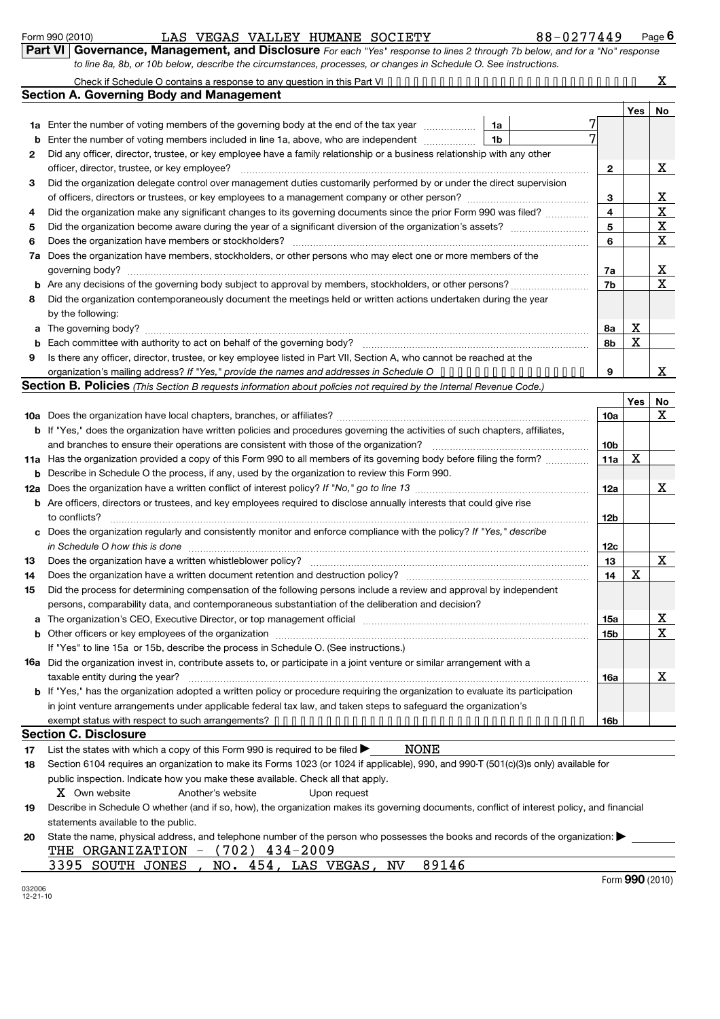| <b>Covernance, Management, and Disclosure</b> For each "Yes" response to lines 2 through 7b below, and for a "No" response |  |
|----------------------------------------------------------------------------------------------------------------------------|--|
| to line 8a, 8b, or 10b below, describe the circumstances, processes, or changes in Schedule O. See instructions.           |  |

|    | to line 8a, 8b, or 10b below, describe the circumstances, processes, or changes in Schedule O. See instructions.                                                                                                               |                         |     |                   |
|----|--------------------------------------------------------------------------------------------------------------------------------------------------------------------------------------------------------------------------------|-------------------------|-----|-------------------|
|    |                                                                                                                                                                                                                                |                         |     | X.                |
|    | <b>Section A. Governing Body and Management</b>                                                                                                                                                                                |                         |     |                   |
|    |                                                                                                                                                                                                                                |                         | Yes | No                |
|    | 1a Enter the number of voting members of the governing body at the end of the tax year<br>1a                                                                                                                                   |                         |     |                   |
| b  | Enter the number of voting members included in line 1a, above, who are independent<br>1b                                                                                                                                       | 7                       |     |                   |
| 2  | Did any officer, director, trustee, or key employee have a family relationship or a business relationship with any other                                                                                                       |                         |     |                   |
|    | officer, director, trustee, or key employee?                                                                                                                                                                                   | 2                       |     | X                 |
| 3  | Did the organization delegate control over management duties customarily performed by or under the direct supervision                                                                                                          |                         |     |                   |
|    |                                                                                                                                                                                                                                | 3                       |     | X                 |
| 4  | Did the organization make any significant changes to its governing documents since the prior Form 990 was filed?                                                                                                               | $\overline{\mathbf{4}}$ |     | X                 |
| 5  |                                                                                                                                                                                                                                | 5                       |     | $\mathbf{X}$      |
| 6  |                                                                                                                                                                                                                                | 6                       |     | X                 |
|    | 7a Does the organization have members, stockholders, or other persons who may elect one or more members of the                                                                                                                 |                         |     |                   |
|    |                                                                                                                                                                                                                                | 7a                      |     | <u>x</u>          |
|    |                                                                                                                                                                                                                                | 7b                      |     | $\mathbf X$       |
| 8  | Did the organization contemporaneously document the meetings held or written actions undertaken during the year                                                                                                                |                         |     |                   |
|    | by the following:                                                                                                                                                                                                              |                         |     |                   |
|    | a The governing body?                                                                                                                                                                                                          | 8a                      | X   |                   |
|    |                                                                                                                                                                                                                                | 8b                      | X   |                   |
| 9  | Is there any officer, director, trustee, or key employee listed in Part VII, Section A, who cannot be reached at the                                                                                                           |                         |     |                   |
|    | organization's mailing address? If "Yes," provide the names and addresses in Schedule $0 \cdot \cdot \cdot \cdot \cdot \cdot \cdot \cdot \cdot \cdot \cdot \cdot \cdot$                                                        | 9                       |     | x                 |
|    | Section B. Policies (This Section B requests information about policies not required by the Internal Revenue Code.)                                                                                                            |                         |     |                   |
|    |                                                                                                                                                                                                                                |                         | Yes | <b>No</b>         |
|    |                                                                                                                                                                                                                                | 10a                     |     | x                 |
|    | <b>b</b> If "Yes," does the organization have written policies and procedures governing the activities of such chapters, affiliates,                                                                                           |                         |     |                   |
|    | and branches to ensure their operations are consistent with those of the organization?                                                                                                                                         | 10 <sub>b</sub>         |     |                   |
|    | 11a Has the organization provided a copy of this Form 990 to all members of its governing body before filing the form?                                                                                                         | 11a                     | X   |                   |
| b  | Describe in Schedule O the process, if any, used by the organization to review this Form 990.                                                                                                                                  |                         |     |                   |
|    |                                                                                                                                                                                                                                | 12a                     |     | X                 |
|    | <b>b</b> Are officers, directors or trustees, and key employees required to disclose annually interests that could give rise                                                                                                   |                         |     |                   |
|    | to conflicts?                                                                                                                                                                                                                  | 12b                     |     |                   |
| c  | Does the organization regularly and consistently monitor and enforce compliance with the policy? If "Yes," describe                                                                                                            |                         |     |                   |
|    |                                                                                                                                                                                                                                | 12c                     |     |                   |
| 13 |                                                                                                                                                                                                                                | 13                      |     | X                 |
| 14 |                                                                                                                                                                                                                                | 14                      | х   |                   |
| 15 | Did the process for determining compensation of the following persons include a review and approval by independent                                                                                                             |                         |     |                   |
|    | persons, comparability data, and contemporaneous substantiation of the deliberation and decision?                                                                                                                              |                         |     |                   |
|    | The organization's CEO, Executive Director, or top management official manufactor content content of the organization's CEO, Executive Director, or top management official manufactor content of the original manufactor of t | 15a                     |     | <u>x</u>          |
|    | b Other officers or key employees of the organization manufactured content to the original content of the organization manufactured content of the organization manufactured content of the organization manufactured content  | 15b                     |     | X                 |
|    | If "Yes" to line 15a or 15b, describe the process in Schedule O. (See instructions.)                                                                                                                                           |                         |     |                   |
|    | 16a Did the organization invest in, contribute assets to, or participate in a joint venture or similar arrangement with a                                                                                                      |                         |     |                   |
|    | taxable entity during the year?                                                                                                                                                                                                | 16a                     |     | X                 |
|    | b If "Yes," has the organization adopted a written policy or procedure requiring the organization to evaluate its participation                                                                                                |                         |     |                   |
|    | in joint venture arrangements under applicable federal tax law, and taken steps to safeguard the organization's                                                                                                                |                         |     |                   |
|    |                                                                                                                                                                                                                                | 16b                     |     |                   |
|    | <b>Section C. Disclosure</b>                                                                                                                                                                                                   |                         |     |                   |
| 17 | <b>NONE</b><br>List the states with which a copy of this Form 990 is required to be filed $\blacktriangleright$                                                                                                                |                         |     |                   |
| 18 | Section 6104 requires an organization to make its Forms 1023 (or 1024 if applicable), 990, and 990-T (501(c)(3)s only) available for                                                                                           |                         |     |                   |
|    | public inspection. Indicate how you make these available. Check all that apply.                                                                                                                                                |                         |     |                   |
|    | X Own website<br>Another's website<br>Upon request                                                                                                                                                                             |                         |     |                   |
| 19 | Describe in Schedule O whether (and if so, how), the organization makes its governing documents, conflict of interest policy, and financial                                                                                    |                         |     |                   |
|    | statements available to the public.                                                                                                                                                                                            |                         |     |                   |
| 20 | State the name, physical address, and telephone number of the person who possesses the books and records of the organization:                                                                                                  |                         |     |                   |
|    | THE ORGANIZATION $-$ (702) 434-2009                                                                                                                                                                                            |                         |     |                   |
|    | 89146<br>NO. 454, LAS VEGAS,<br>NV<br><u>3395 SOUTH JONES</u>                                                                                                                                                                  |                         |     | $Form$ 990 (2010) |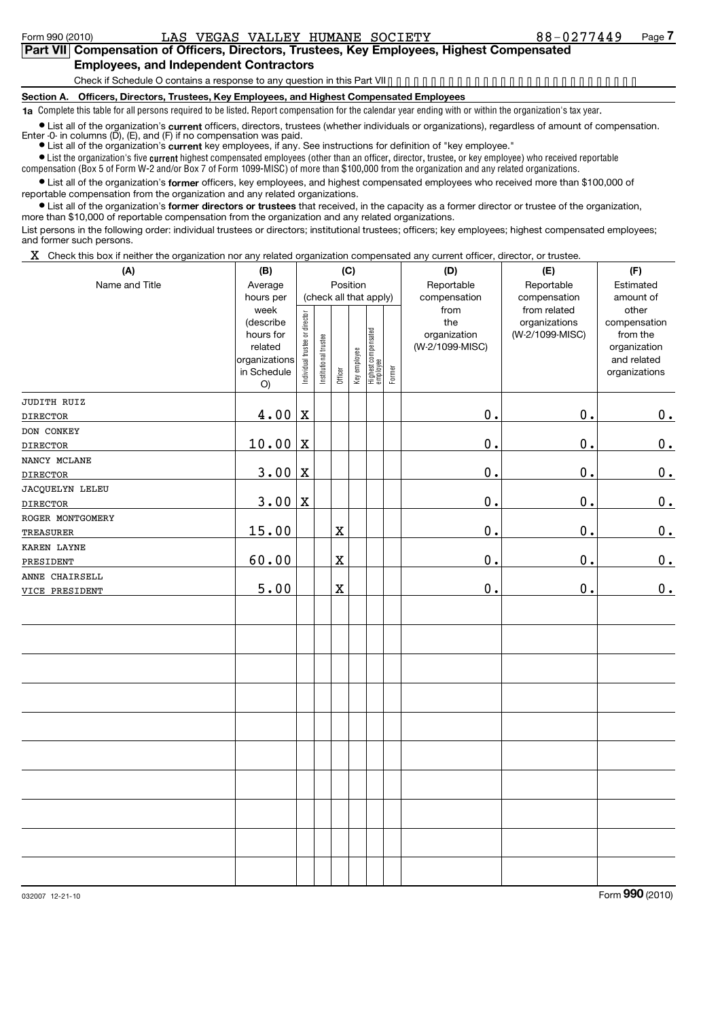#### **Part VII Compensation of Officers, Directors, Trustees, Key Employees, Highest Compensated Employees, and Independent Contractors**

Check if Schedule O contains a response to any question in this Part VII.............................

**Section A. Officers, Directors, Trustees, Key Employees, and Highest Compensated Employees**

**1a** Complete this table for all persons required to be listed. Report compensation for the calendar year ending with or within the organization's tax year.

● List all of the organization's **current** officers, directors, trustees (whether individuals or organizations), regardless of amount of compensation.<br>Enter -0- in columns (D), (E), and (F) if no compensation was paid.

**•** List all of the organization's current key employees, if any. See instructions for definition of "key employee."

 $\bullet$  List the organization's five  $\mathfrak{current}$  highest compensated employees (other than an officer, director, trustee, or key employee) who received reportable compensation (Box 5 of Form W-2 and/or Box 7 of Form 1099-MISC) of more than \$100,000 from the organization and any related organizations .

• List all of the organization's former officers, key employees, and highest compensated employees who received more than \$100,000 of reportable compensation from the organization and any related organizations.

**•** List all of the organization's former directors or trustees that received, in the capacity as a former director or trustee of the organization, more than \$10,000 of reportable compensation from the organization and any related organizations.

List persons in the following order: individual trustees or directors; institutional trustees; officers; key employees; highest compensated employees; and former such persons.

 $X$  Check this box if neither the organization nor any related organization compensated any current officer, director, or trustee.

| (A)                            | (B)                                                    | (C)                            |                       |             |              |                                 |        | (D)                                         | (E)                                                              | (F)                                            |  |  |
|--------------------------------|--------------------------------------------------------|--------------------------------|-----------------------|-------------|--------------|---------------------------------|--------|---------------------------------------------|------------------------------------------------------------------|------------------------------------------------|--|--|
| Name and Title                 | Position<br>Average                                    |                                |                       |             |              |                                 |        | Reportable                                  | Reportable                                                       | Estimated                                      |  |  |
|                                | hours per<br>week<br>(describe<br>hours for<br>related |                                |                       |             |              | (check all that apply)          |        | compensation<br>from<br>the<br>organization | compensation<br>from related<br>organizations<br>(W-2/1099-MISC) | amount of<br>other<br>compensation<br>from the |  |  |
|                                | organizations<br>in Schedule<br>O)                     | Individual trustee or director | Institutional trustee | Officer     | Key employee | Highest compensated<br>employee | Former | (W-2/1099-MISC)                             |                                                                  | organization<br>and related<br>organizations   |  |  |
| JUDITH RUIZ<br><b>DIRECTOR</b> | 4.00                                                   | $\mathbf X$                    |                       |             |              |                                 |        | $\mathbf 0$ .                               | $\mathbf 0$ .                                                    | 0.                                             |  |  |
| DON CONKEY                     |                                                        |                                |                       |             |              |                                 |        |                                             |                                                                  |                                                |  |  |
| <b>DIRECTOR</b>                | 10.00                                                  | $\mathbf X$                    |                       |             |              |                                 |        | 0.                                          | $\mathfrak o$ .                                                  | 0.                                             |  |  |
| NANCY MCLANE                   |                                                        |                                |                       |             |              |                                 |        |                                             |                                                                  |                                                |  |  |
| <b>DIRECTOR</b>                | 3.00                                                   | $\mathbf X$                    |                       |             |              |                                 |        | 0.                                          | $\mathbf 0$ .                                                    | 0.                                             |  |  |
| JACQUELYN LELEU                |                                                        |                                |                       |             |              |                                 |        |                                             |                                                                  |                                                |  |  |
| <b>DIRECTOR</b>                | 3.00                                                   | $\mathbf X$                    |                       |             |              |                                 |        | 0.                                          | $\mathbf 0$ .                                                    | 0.                                             |  |  |
| ROGER MONTGOMERY               |                                                        |                                |                       |             |              |                                 |        |                                             |                                                                  |                                                |  |  |
| <b>TREASURER</b>               | 15.00                                                  |                                |                       | $\mathbf x$ |              |                                 |        | $\mathfrak o$ .                             | $\mathbf 0$ .                                                    | 0.                                             |  |  |
| KAREN LAYNE                    |                                                        |                                |                       |             |              |                                 |        |                                             |                                                                  |                                                |  |  |
| PRESIDENT                      | 60.00                                                  |                                |                       | $\rm X$     |              |                                 |        | $\mathbf 0$ .                               | $\mathbf 0$ .                                                    | 0.                                             |  |  |
| ANNE CHAIRSELL                 |                                                        |                                |                       |             |              |                                 |        |                                             |                                                                  |                                                |  |  |
| VICE PRESIDENT                 | 5.00                                                   |                                |                       | $\rm X$     |              |                                 |        | $\mathbf 0$ .                               | $\mathbf 0$ .                                                    | 0.                                             |  |  |
|                                |                                                        |                                |                       |             |              |                                 |        |                                             |                                                                  |                                                |  |  |
|                                |                                                        |                                |                       |             |              |                                 |        |                                             |                                                                  |                                                |  |  |
|                                |                                                        |                                |                       |             |              |                                 |        |                                             |                                                                  |                                                |  |  |
|                                |                                                        |                                |                       |             |              |                                 |        |                                             |                                                                  |                                                |  |  |
|                                |                                                        |                                |                       |             |              |                                 |        |                                             |                                                                  |                                                |  |  |
|                                |                                                        |                                |                       |             |              |                                 |        |                                             |                                                                  |                                                |  |  |
|                                |                                                        |                                |                       |             |              |                                 |        |                                             |                                                                  |                                                |  |  |
|                                |                                                        |                                |                       |             |              |                                 |        |                                             |                                                                  |                                                |  |  |
|                                |                                                        |                                |                       |             |              |                                 |        |                                             |                                                                  |                                                |  |  |
|                                |                                                        |                                |                       |             |              |                                 |        |                                             |                                                                  |                                                |  |  |

032007 12-21-10

Form **990** (2010)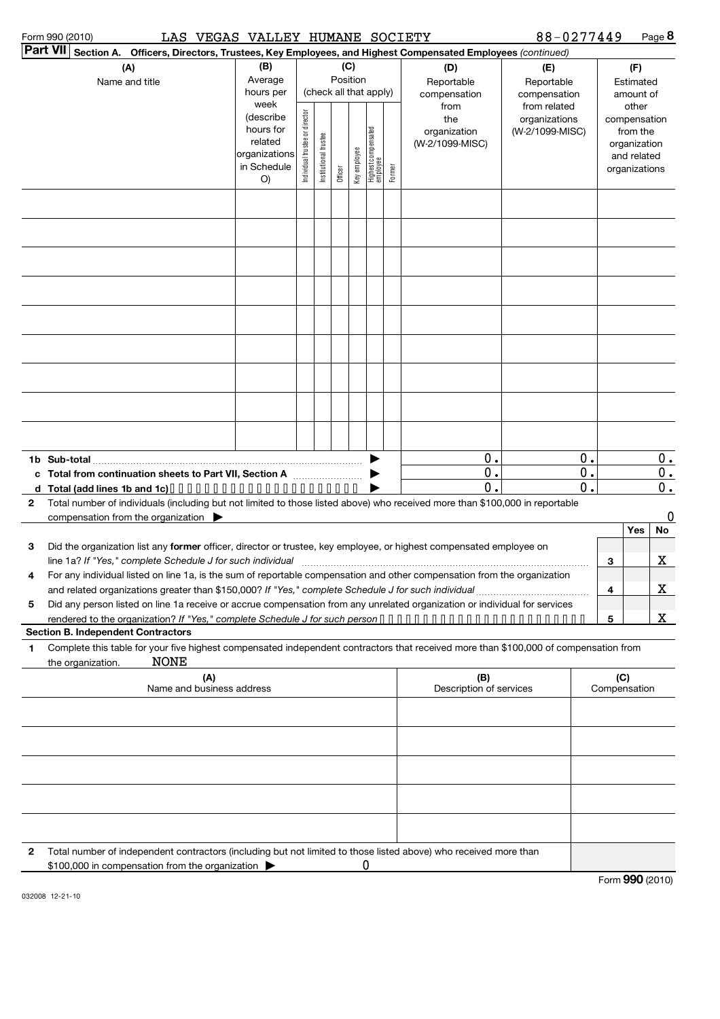| Form 990 (2010) |  |
|-----------------|--|
| ,,,,,,          |  |

Form 990 (2010) LAS VEGAS VALLEY HUMANE SOCIETY 88-0277449 Page

88-0277449 Page 8

|   | <b>Part VII</b> Section A. Officers, Directors, Trustees, Key Employees, and Highest Compensated Employees (continued)                                                                                                          |                                                                   |                                |                       |          |              |                                 |        |                                                |                                                  |                     |                         |                                                                                   |             |
|---|---------------------------------------------------------------------------------------------------------------------------------------------------------------------------------------------------------------------------------|-------------------------------------------------------------------|--------------------------------|-----------------------|----------|--------------|---------------------------------|--------|------------------------------------------------|--------------------------------------------------|---------------------|-------------------------|-----------------------------------------------------------------------------------|-------------|
|   | (A)                                                                                                                                                                                                                             | (B)                                                               |                                |                       | Position | (C)          |                                 |        | (D)<br>(E)                                     |                                                  |                     |                         | (F)                                                                               |             |
|   | Name and title                                                                                                                                                                                                                  | Average<br>hours per<br>week                                      |                                |                       |          |              | (check all that apply)          |        | Reportable<br>compensation                     | Reportable<br>compensation                       |                     |                         | Estimated<br>amount of                                                            |             |
|   |                                                                                                                                                                                                                                 | (describe<br>hours for<br>related<br>organizations<br>in Schedule | Individual trustee or director | Institutional trustee | Officer  | Key employee | Highest compensated<br>employee | Former | from<br>the<br>organization<br>(W-2/1099-MISC) | from related<br>organizations<br>(W-2/1099-MISC) |                     |                         | other<br>compensation<br>from the<br>organization<br>and related<br>organizations |             |
|   |                                                                                                                                                                                                                                 | O)                                                                |                                |                       |          |              |                                 |        |                                                |                                                  |                     |                         |                                                                                   |             |
|   |                                                                                                                                                                                                                                 |                                                                   |                                |                       |          |              |                                 |        |                                                |                                                  |                     |                         |                                                                                   |             |
|   |                                                                                                                                                                                                                                 |                                                                   |                                |                       |          |              |                                 |        |                                                |                                                  |                     |                         |                                                                                   |             |
|   |                                                                                                                                                                                                                                 |                                                                   |                                |                       |          |              |                                 |        |                                                |                                                  |                     |                         |                                                                                   |             |
|   |                                                                                                                                                                                                                                 |                                                                   |                                |                       |          |              |                                 |        |                                                |                                                  |                     |                         |                                                                                   |             |
|   |                                                                                                                                                                                                                                 |                                                                   |                                |                       |          |              |                                 |        |                                                |                                                  |                     |                         |                                                                                   |             |
|   |                                                                                                                                                                                                                                 |                                                                   |                                |                       |          |              |                                 |        |                                                |                                                  |                     |                         |                                                                                   |             |
|   |                                                                                                                                                                                                                                 |                                                                   |                                |                       |          |              |                                 |        |                                                |                                                  |                     |                         |                                                                                   |             |
|   |                                                                                                                                                                                                                                 |                                                                   |                                |                       |          |              |                                 |        |                                                |                                                  |                     |                         |                                                                                   |             |
|   |                                                                                                                                                                                                                                 |                                                                   |                                |                       |          |              |                                 |        | 0.                                             |                                                  | 0.                  |                         |                                                                                   | $0$ .       |
|   | c Total from continuation sheets to Part VII, Section A                                                                                                                                                                         |                                                                   |                                |                       |          |              |                                 |        | 0.<br>0.                                       |                                                  | $\mathbf 0$ .<br>0. |                         |                                                                                   | 0.<br>0.    |
| 2 | Total number of individuals (including but not limited to those listed above) who received more than \$100,000 in reportable                                                                                                    |                                                                   |                                |                       |          |              |                                 |        |                                                |                                                  |                     |                         |                                                                                   |             |
|   | compensation from the organization $\blacktriangleright$                                                                                                                                                                        |                                                                   |                                |                       |          |              |                                 |        |                                                |                                                  |                     |                         |                                                                                   | 0           |
|   |                                                                                                                                                                                                                                 |                                                                   |                                |                       |          |              |                                 |        |                                                |                                                  |                     |                         | Yes                                                                               | No          |
| 3 | Did the organization list any former officer, director or trustee, key employee, or highest compensated employee on                                                                                                             |                                                                   |                                |                       |          |              |                                 |        |                                                |                                                  |                     |                         |                                                                                   |             |
|   |                                                                                                                                                                                                                                 |                                                                   |                                |                       |          |              |                                 |        |                                                |                                                  |                     | 3                       |                                                                                   | X           |
| 4 | For any individual listed on line 1a, is the sum of reportable compensation and other compensation from the organization<br>and related organizations greater than \$150,000? If "Yes," complete Schedule J for such individual |                                                                   |                                |                       |          |              |                                 |        |                                                |                                                  |                     | 4                       |                                                                                   | $\mathbf X$ |
| 5 | Did any person listed on line 1a receive or accrue compensation from any unrelated organization or individual for services                                                                                                      |                                                                   |                                |                       |          |              |                                 |        |                                                |                                                  |                     |                         |                                                                                   |             |
|   |                                                                                                                                                                                                                                 |                                                                   |                                |                       |          |              |                                 |        |                                                |                                                  |                     | $\overline{\mathbf{5}}$ |                                                                                   | <u>x</u>    |
|   | <b>Section B. Independent Contractors</b>                                                                                                                                                                                       |                                                                   |                                |                       |          |              |                                 |        |                                                |                                                  |                     |                         |                                                                                   |             |
| 1 | Complete this table for your five highest compensated independent contractors that received more than \$100,000 of compensation from<br><b>NONE</b><br>the organization.                                                        |                                                                   |                                |                       |          |              |                                 |        |                                                |                                                  |                     |                         |                                                                                   |             |
|   | (A)<br>Name and business address                                                                                                                                                                                                |                                                                   |                                |                       |          |              |                                 |        | (B)<br>Description of services                 |                                                  |                     | (C)                     | Compensation                                                                      |             |
|   |                                                                                                                                                                                                                                 |                                                                   |                                |                       |          |              |                                 |        |                                                |                                                  |                     |                         |                                                                                   |             |
|   |                                                                                                                                                                                                                                 |                                                                   |                                |                       |          |              |                                 |        |                                                |                                                  |                     |                         |                                                                                   |             |
|   |                                                                                                                                                                                                                                 |                                                                   |                                |                       |          |              |                                 |        |                                                |                                                  |                     |                         |                                                                                   |             |
|   |                                                                                                                                                                                                                                 |                                                                   |                                |                       |          |              |                                 |        |                                                |                                                  |                     |                         |                                                                                   |             |
| 2 | Total number of independent contractors (including but not limited to those listed above) who received more than                                                                                                                |                                                                   |                                |                       |          |              |                                 |        |                                                |                                                  |                     |                         |                                                                                   |             |
|   | \$100,000 in compensation from the organization >                                                                                                                                                                               |                                                                   |                                |                       |          |              | 0                               |        |                                                |                                                  |                     |                         |                                                                                   |             |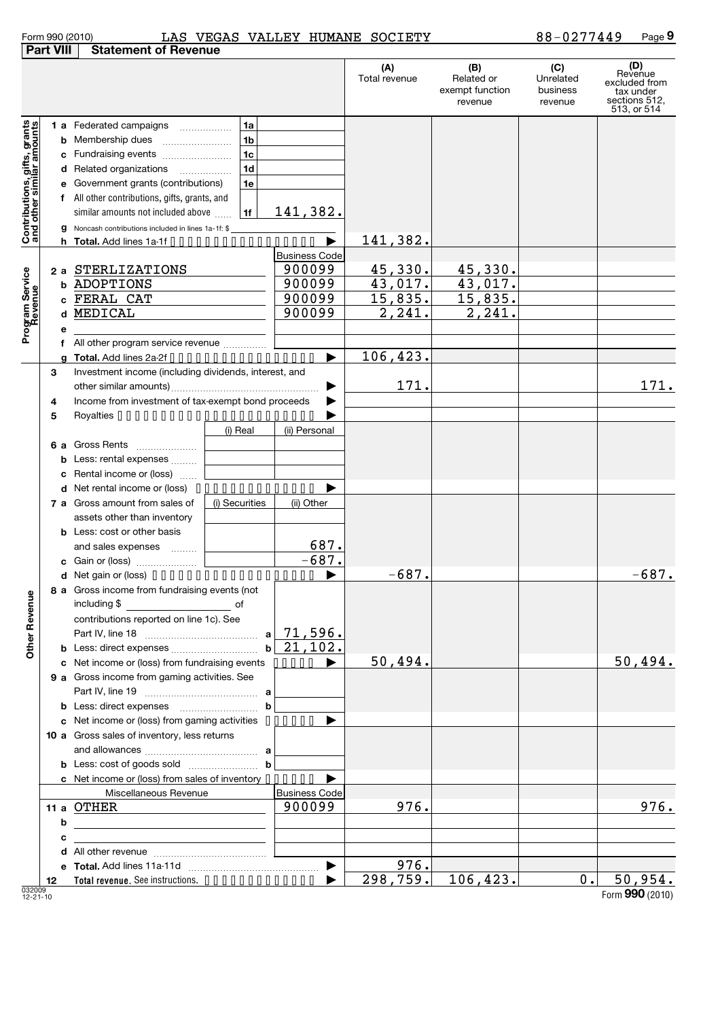| Form 990 (2010) |  |
|-----------------|--|
|-----------------|--|

#### Form 990 (2010) LAS VEGAS VALLEY HUMANE SOCIETY 88-0 277449 Page LAS VEGAS VALLEY HUMANE SOCIETY 88-0277449

|                                                           | <b>Part VIII</b> | <b>Statement of Revenue</b>                                                                                           |                      |                      |                                                 |                                         |                                                                              |
|-----------------------------------------------------------|------------------|-----------------------------------------------------------------------------------------------------------------------|----------------------|----------------------|-------------------------------------------------|-----------------------------------------|------------------------------------------------------------------------------|
|                                                           |                  |                                                                                                                       |                      | (A)<br>Total revenue | (B)<br>Related or<br>exempt function<br>revenue | (C)<br>Unrelated<br>business<br>revenue | (D)<br>Revenue<br>excluded from<br>tax under<br>sections 512,<br>513, or 514 |
|                                                           |                  | <b>1 a</b> Federated campaigns<br>1a                                                                                  |                      |                      |                                                 |                                         |                                                                              |
|                                                           | b                | 1 <sub>b</sub><br>Membership dues                                                                                     |                      |                      |                                                 |                                         |                                                                              |
|                                                           | с                | 1 <sub>c</sub><br>Fundraising events                                                                                  |                      |                      |                                                 |                                         |                                                                              |
|                                                           | d                | 1 <sub>d</sub><br>Related organizations<br>.                                                                          |                      |                      |                                                 |                                         |                                                                              |
|                                                           | е                | Government grants (contributions)<br>1e                                                                               |                      |                      |                                                 |                                         |                                                                              |
|                                                           | f                | All other contributions, gifts, grants, and                                                                           |                      |                      |                                                 |                                         |                                                                              |
|                                                           |                  | similar amounts not included above<br>1f                                                                              | 141,382.             |                      |                                                 |                                         |                                                                              |
|                                                           |                  |                                                                                                                       |                      |                      |                                                 |                                         |                                                                              |
| Contributions, gifts, grants<br>and other similar amounts | g                | Noncash contributions included in lines 1a-1f: \$<br>Total. Add lines 1a-1f                                           |                      | <u>141,382.</u>      |                                                 |                                         |                                                                              |
|                                                           |                  |                                                                                                                       | <b>Business Code</b> |                      |                                                 |                                         |                                                                              |
|                                                           | 2 a              | STERLIZATIONS                                                                                                         | 900099               | 45,330.              | 45, 330.                                        |                                         |                                                                              |
|                                                           | b                | ADOPTIONS                                                                                                             | 900099               | 43,017.              | 43,017.                                         |                                         |                                                                              |
|                                                           |                  | FERAL CAT                                                                                                             | 900099               | 15,835.              | 15,835.                                         |                                         |                                                                              |
|                                                           |                  | MEDICAL                                                                                                               | 900099               | 2,241.               | 2,241.                                          |                                         |                                                                              |
| Program Service<br>Revenue                                | е                |                                                                                                                       |                      |                      |                                                 |                                         |                                                                              |
|                                                           |                  | All other program service revenue                                                                                     |                      |                      |                                                 |                                         |                                                                              |
|                                                           | a                | Total. Add lines 2a-2f                                                                                                |                      | 106,423.             |                                                 |                                         |                                                                              |
|                                                           | 3                | Investment income (including dividends, interest, and                                                                 |                      |                      |                                                 |                                         |                                                                              |
|                                                           |                  |                                                                                                                       |                      | 171.                 |                                                 |                                         | 171.                                                                         |
|                                                           | 4                | Income from investment of tax-exempt bond proceeds                                                                    |                      |                      |                                                 |                                         |                                                                              |
|                                                           | 5                |                                                                                                                       |                      |                      |                                                 |                                         |                                                                              |
|                                                           |                  | (i) Real                                                                                                              | (ii) Personal        |                      |                                                 |                                         |                                                                              |
|                                                           | 6а               | Gross Rents                                                                                                           |                      |                      |                                                 |                                         |                                                                              |
|                                                           | b                | Less: rental expenses                                                                                                 |                      |                      |                                                 |                                         |                                                                              |
|                                                           |                  | Rental income or (loss)                                                                                               |                      |                      |                                                 |                                         |                                                                              |
|                                                           | d                | Net rental income or (loss)                                                                                           |                      |                      |                                                 |                                         |                                                                              |
|                                                           | 7а               | Gross amount from sales of<br>(i) Securities                                                                          | (ii) Other           |                      |                                                 |                                         |                                                                              |
|                                                           |                  | assets other than inventory                                                                                           |                      |                      |                                                 |                                         |                                                                              |
|                                                           |                  | <b>b</b> Less: cost or other basis                                                                                    |                      |                      |                                                 |                                         |                                                                              |
|                                                           |                  | and sales expenses                                                                                                    | 687.                 |                      |                                                 |                                         |                                                                              |
|                                                           |                  |                                                                                                                       | $-687.$              |                      |                                                 |                                         |                                                                              |
|                                                           |                  |                                                                                                                       |                      | $-687.$              |                                                 |                                         | $-687.$                                                                      |
|                                                           |                  | 8 a Gross income from fundraising events (not                                                                         |                      |                      |                                                 |                                         |                                                                              |
| <b>Other Revenue</b>                                      |                  | including \$<br><u>of</u> of                                                                                          |                      |                      |                                                 |                                         |                                                                              |
|                                                           |                  | contributions reported on line 1c). See                                                                               |                      |                      |                                                 |                                         |                                                                              |
|                                                           |                  | a                                                                                                                     | 71,596.              |                      |                                                 |                                         |                                                                              |
|                                                           |                  | $\mathbf{b}$                                                                                                          | 21,102.              |                      |                                                 |                                         |                                                                              |
|                                                           |                  | c Net income or (loss) from fundraising events ••••••                                                                 |                      | 50,494.              |                                                 |                                         | 50,494.                                                                      |
|                                                           |                  | 9 a Gross income from gaming activities. See                                                                          |                      |                      |                                                 |                                         |                                                                              |
|                                                           |                  |                                                                                                                       |                      |                      |                                                 |                                         |                                                                              |
|                                                           |                  | $\mathbf b$<br><b>b</b> Less: direct expenses                                                                         |                      |                      |                                                 |                                         |                                                                              |
|                                                           |                  | c Net income or (loss) from gaming activities                                                                         |                      |                      |                                                 |                                         |                                                                              |
|                                                           |                  | 10 a Gross sales of inventory, less returns                                                                           |                      |                      |                                                 |                                         |                                                                              |
|                                                           |                  |                                                                                                                       |                      |                      |                                                 |                                         |                                                                              |
|                                                           |                  | $\mathbf b$                                                                                                           |                      |                      |                                                 |                                         |                                                                              |
|                                                           |                  | c Net income or (loss) from sales of inventory $\cdots$                                                               |                      |                      |                                                 |                                         |                                                                              |
|                                                           |                  | Miscellaneous Revenue                                                                                                 | <b>Business Code</b> |                      |                                                 |                                         |                                                                              |
|                                                           |                  | 11 a OTHER                                                                                                            | 900099               | 976.                 |                                                 |                                         | 976.                                                                         |
|                                                           | b                |                                                                                                                       |                      |                      |                                                 |                                         |                                                                              |
|                                                           | с                | <u> 1989 - Johann Barbara, martin amerikan basar dan berasal dalam basar dalam basar dalam basar dalam basar dala</u> |                      |                      |                                                 |                                         |                                                                              |
|                                                           |                  |                                                                                                                       |                      | 976.                 |                                                 |                                         |                                                                              |
|                                                           | 12               |                                                                                                                       |                      | 298,759.             | 106,423.                                        | 0.                                      | 50,954.                                                                      |
| 000000                                                    |                  |                                                                                                                       |                      |                      |                                                 |                                         |                                                                              |

032009 12-21-10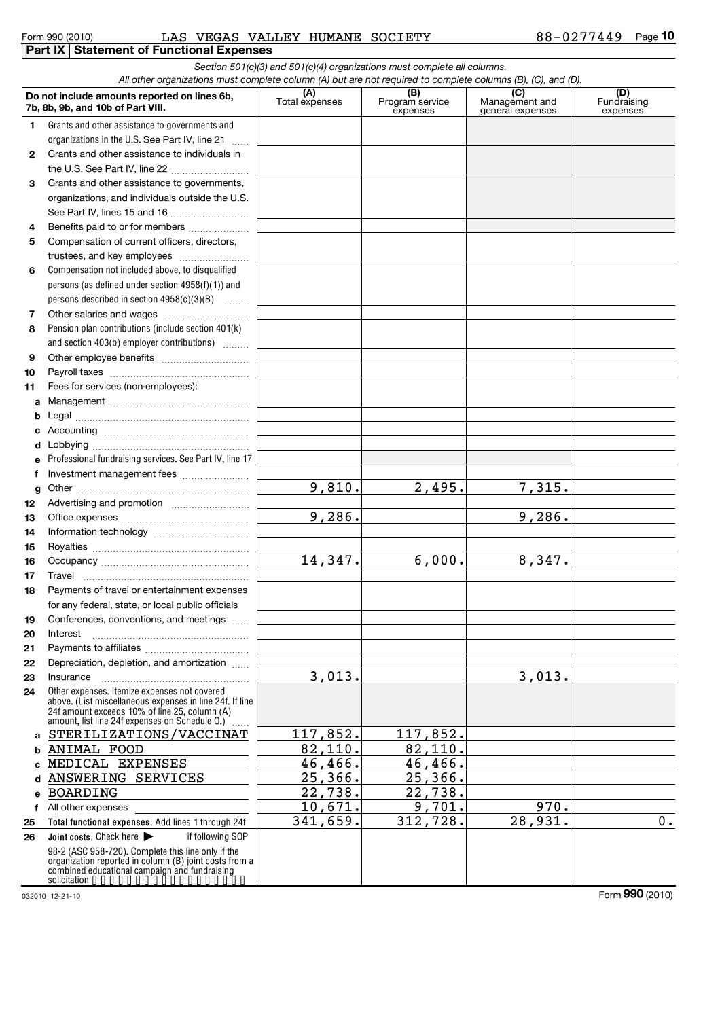### Form 990 (2010) LAS VEGAS VALLEY HUMANE SOCIETY 88-0277449 Page **Part IX Statement of Functional Expenses**

|              |                                                                                                                                                                                                               |                       | Section 501(c)(3) and 501(c)(4) organizations must complete all columns. |                                    |                                |
|--------------|---------------------------------------------------------------------------------------------------------------------------------------------------------------------------------------------------------------|-----------------------|--------------------------------------------------------------------------|------------------------------------|--------------------------------|
|              | All other organizations must complete column (A) but are not required to complete columns (B), (C), and (D).                                                                                                  |                       |                                                                          | (C)                                |                                |
|              | Do not include amounts reported on lines 6b,<br>7b, 8b, 9b, and 10b of Part VIII.                                                                                                                             | (A)<br>Total expenses | (B)<br>Program service<br>expenses                                       | Management and<br>general expenses | (D)<br>Fundraising<br>expenses |
| 1            | Grants and other assistance to governments and                                                                                                                                                                |                       |                                                                          |                                    |                                |
|              | organizations in the U.S. See Part IV, line 21                                                                                                                                                                |                       |                                                                          |                                    |                                |
| $\mathbf{2}$ | Grants and other assistance to individuals in                                                                                                                                                                 |                       |                                                                          |                                    |                                |
|              | the U.S. See Part IV, line 22                                                                                                                                                                                 |                       |                                                                          |                                    |                                |
| 3            | Grants and other assistance to governments,                                                                                                                                                                   |                       |                                                                          |                                    |                                |
|              | organizations, and individuals outside the U.S.                                                                                                                                                               |                       |                                                                          |                                    |                                |
|              | See Part IV, lines 15 and 16                                                                                                                                                                                  |                       |                                                                          |                                    |                                |
| 4            | Benefits paid to or for members                                                                                                                                                                               |                       |                                                                          |                                    |                                |
| 5            | Compensation of current officers, directors,                                                                                                                                                                  |                       |                                                                          |                                    |                                |
|              | trustees, and key employees                                                                                                                                                                                   |                       |                                                                          |                                    |                                |
| 6            | Compensation not included above, to disqualified                                                                                                                                                              |                       |                                                                          |                                    |                                |
|              | persons (as defined under section 4958(f)(1)) and                                                                                                                                                             |                       |                                                                          |                                    |                                |
|              | persons described in section 4958(c)(3)(B)                                                                                                                                                                    |                       |                                                                          |                                    |                                |
| 7            |                                                                                                                                                                                                               |                       |                                                                          |                                    |                                |
| 8            | Pension plan contributions (include section 401(k)                                                                                                                                                            |                       |                                                                          |                                    |                                |
|              | and section 403(b) employer contributions)                                                                                                                                                                    |                       |                                                                          |                                    |                                |
| 9            |                                                                                                                                                                                                               |                       |                                                                          |                                    |                                |
| 10           |                                                                                                                                                                                                               |                       |                                                                          |                                    |                                |
| 11           | Fees for services (non-employees):                                                                                                                                                                            |                       |                                                                          |                                    |                                |
| а            |                                                                                                                                                                                                               |                       |                                                                          |                                    |                                |
| b            |                                                                                                                                                                                                               |                       |                                                                          |                                    |                                |
| с            |                                                                                                                                                                                                               |                       |                                                                          |                                    |                                |
| d            |                                                                                                                                                                                                               |                       |                                                                          |                                    |                                |
| е            | Professional fundraising services. See Part IV, line 17                                                                                                                                                       |                       |                                                                          |                                    |                                |
| f            | Investment management fees                                                                                                                                                                                    |                       |                                                                          |                                    |                                |
| g            |                                                                                                                                                                                                               | 9,810.                | 2,495.                                                                   | 7,315.                             |                                |
| 12           |                                                                                                                                                                                                               |                       |                                                                          |                                    |                                |
| 13           |                                                                                                                                                                                                               | 9,286.                |                                                                          | 9,286.                             |                                |
| 14           |                                                                                                                                                                                                               |                       |                                                                          |                                    |                                |
| 15           |                                                                                                                                                                                                               |                       |                                                                          |                                    |                                |
| 16           |                                                                                                                                                                                                               | 14,347.               | 6,000.                                                                   | 8,347.                             |                                |
| 17           |                                                                                                                                                                                                               |                       |                                                                          |                                    |                                |
| 18           | Payments of travel or entertainment expenses                                                                                                                                                                  |                       |                                                                          |                                    |                                |
|              | for any federal, state, or local public officials                                                                                                                                                             |                       |                                                                          |                                    |                                |
| 19           | Conferences, conventions, and meetings                                                                                                                                                                        |                       |                                                                          |                                    |                                |
| 20           | Interest                                                                                                                                                                                                      |                       |                                                                          |                                    |                                |
| 21           |                                                                                                                                                                                                               |                       |                                                                          |                                    |                                |
| 22           | Depreciation, depletion, and amortization                                                                                                                                                                     |                       |                                                                          |                                    |                                |
| 23           | Insurance                                                                                                                                                                                                     | 3,013.                |                                                                          | 3,013.                             |                                |
| 24           | Other expenses. Itemize expenses not covered<br>above. (List miscellaneous expenses in line 24f. If line<br>24f amount exceeds 10% of line 25, column (A)<br>amount, list line 24f expenses on Schedule O.) [ |                       |                                                                          |                                    |                                |
| а            | STERILIZATIONS/VACCINAT                                                                                                                                                                                       | 117,852.              | 117,852.                                                                 |                                    |                                |
| b            | <b>ANIMAL FOOD</b>                                                                                                                                                                                            | 82,110.               | 82,110.                                                                  |                                    |                                |
| с            | MEDICAL EXPENSES                                                                                                                                                                                              | 46,466.               | 46,466.                                                                  |                                    |                                |
| d            | ANSWERING SERVICES                                                                                                                                                                                            | 25,366.               | 25,366.                                                                  |                                    |                                |
| е            | <b>BOARDING</b>                                                                                                                                                                                               | 22,738.               | 22,738.                                                                  |                                    |                                |
|              | f All other expenses                                                                                                                                                                                          | 10,671.               | 9,701.                                                                   | 970.                               |                                |
| 25           | Total functional expenses. Add lines 1 through 24f                                                                                                                                                            | 341,659.              | 312,728.                                                                 | 28,931.                            | $0$ .                          |
| 26           | Joint costs. Check here<br>if following SOP                                                                                                                                                                   |                       |                                                                          |                                    |                                |
|              | 98-2 (ASC 958-720). Complete this line only if the<br>organization reported in column (B) joint costs from a<br>combined educational campaign and fundraising                                                 |                       |                                                                          |                                    |                                |
|              | solicitation                                                                                                                                                                                                  |                       |                                                                          |                                    |                                |

032010 12-21-10

Form **990** (2010)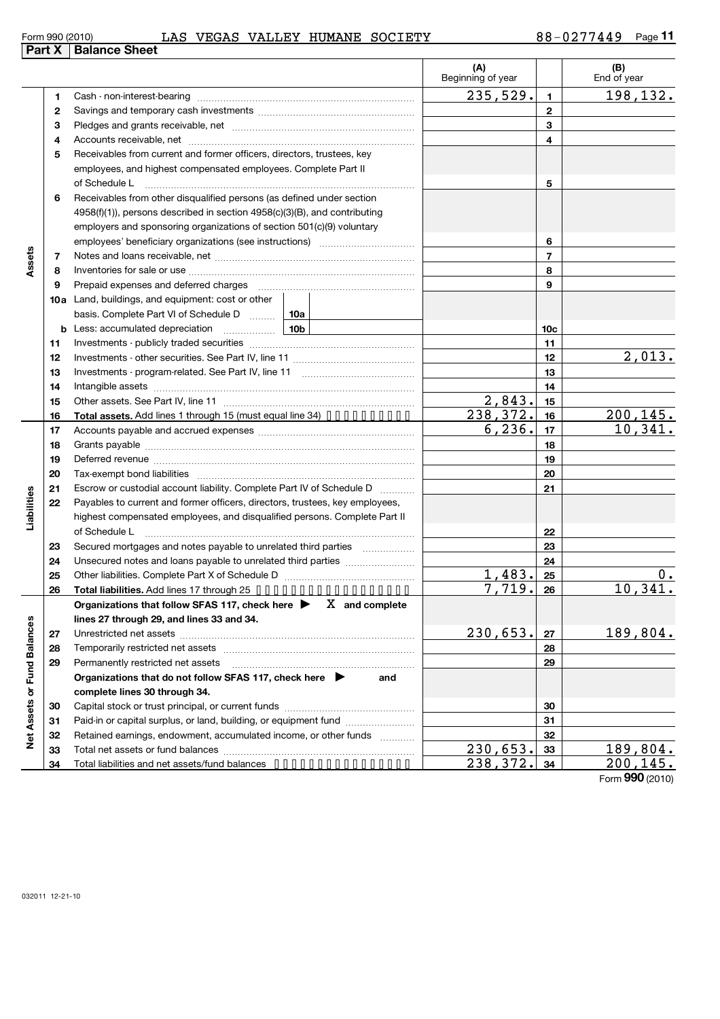#### Form 990 (2010) LAS VEGAS VALLEY HUMANE SOCIETY 88-0277449 Page

Investments - program-related. See Part IV, line 11 ~~~~~~~~~~~~~ Intangible assets ~~~~~~~~~~~~~~~~~~~~~~~~~~~~~~ **11**

 $132.$ 

 $\frac{013.}{013.}$ 

**13 14**

|    | rt x +Balance Sneet                                                                                                                                                                                                              |                          |                 |                    |
|----|----------------------------------------------------------------------------------------------------------------------------------------------------------------------------------------------------------------------------------|--------------------------|-----------------|--------------------|
|    |                                                                                                                                                                                                                                  | (A)<br>Beginning of year |                 | (B)<br>End of year |
|    |                                                                                                                                                                                                                                  | 235,529.                 | 1               | 198,132.           |
| 2  |                                                                                                                                                                                                                                  |                          | 2               |                    |
| 3  |                                                                                                                                                                                                                                  |                          | 3               |                    |
| 4  |                                                                                                                                                                                                                                  |                          | 4               |                    |
| 5  | Receivables from current and former officers, directors, trustees, key<br>employees, and highest compensated employees. Complete Part II<br>of Schedule L                                                                        |                          | 5               |                    |
| 6  | Receivables from other disqualified persons (as defined under section<br>$4958(f)(1)$ , persons described in section $4958(c)(3)(B)$ , and contributing<br>employers and sponsoring organizations of section 501(c)(9) voluntary |                          | 6               |                    |
| 7  |                                                                                                                                                                                                                                  |                          | 7               |                    |
| 8  |                                                                                                                                                                                                                                  |                          | 8               |                    |
| 9  | Prepaid expenses and deferred charges                                                                                                                                                                                            |                          | 9               |                    |
|    | 10a Land, buildings, and equipment: cost or other                                                                                                                                                                                |                          |                 |                    |
|    | basis. Complete Part VI of Schedule D  10a                                                                                                                                                                                       |                          |                 |                    |
| b  |                                                                                                                                                                                                                                  |                          | 10 <sub>c</sub> |                    |
| 11 |                                                                                                                                                                                                                                  |                          | 11              |                    |
| 12 |                                                                                                                                                                                                                                  |                          | 12              | 2,013.             |

|                      | 15 |                                                                                                                                                                                                                                 | 2,843.                | 15 |                      |
|----------------------|----|---------------------------------------------------------------------------------------------------------------------------------------------------------------------------------------------------------------------------------|-----------------------|----|----------------------|
|                      | 16 | Total assets. Add lines 1 through 15 (must equal line 34)                                                                                                                                                                       | 238,372.              | 16 | 200,145.             |
|                      | 17 |                                                                                                                                                                                                                                 | 6, 236.               | 17 | 10,341.              |
|                      | 18 |                                                                                                                                                                                                                                 |                       | 18 |                      |
|                      | 19 |                                                                                                                                                                                                                                 |                       | 19 |                      |
|                      | 20 |                                                                                                                                                                                                                                 |                       | 20 |                      |
|                      | 21 | Escrow or custodial account liability. Complete Part IV of Schedule D                                                                                                                                                           |                       | 21 |                      |
| Liabilities          | 22 | Payables to current and former officers, directors, trustees, key employees,                                                                                                                                                    |                       |    |                      |
|                      |    | highest compensated employees, and disqualified persons. Complete Part II                                                                                                                                                       |                       |    |                      |
|                      |    | of Schedule L                                                                                                                                                                                                                   |                       | 22 |                      |
|                      | 23 | Secured mortgages and notes payable to unrelated third parties                                                                                                                                                                  |                       | 23 |                      |
|                      | 24 |                                                                                                                                                                                                                                 |                       | 24 |                      |
|                      | 25 |                                                                                                                                                                                                                                 | 1,483.                | 25 | $0$ .                |
|                      | 26 | Total liabilities. Add lines 17 through 25                                                                                                                                                                                      | 7,719.                | 26 | 10,341.              |
|                      |    | Organizations that follow SFAS 117, check here $\blacktriangleright$ X and complete                                                                                                                                             |                       |    |                      |
|                      |    |                                                                                                                                                                                                                                 |                       |    |                      |
|                      |    | lines 27 through 29, and lines 33 and 34.                                                                                                                                                                                       |                       |    |                      |
|                      | 27 |                                                                                                                                                                                                                                 | 230,653.              | 27 | 189,804.             |
|                      | 28 | Temporarily restricted net assets [[11] [11] Temporarily restricted net assets [[11] [11] Temporarily restricted net assets [[11] [11] Temporarily restricted net assets [[11] [11] Temporarily restricted net assets [[11] $\$ |                       | 28 |                      |
|                      | 29 | Permanently restricted net assets                                                                                                                                                                                               |                       | 29 |                      |
| <b>Fund Balances</b> |    | Organizations that do not follow SFAS 117, check here<br>and                                                                                                                                                                    |                       |    |                      |
|                      |    | complete lines 30 through 34.                                                                                                                                                                                                   |                       |    |                      |
|                      | 30 |                                                                                                                                                                                                                                 |                       | 30 |                      |
|                      | 31 | Paid-in or capital surplus, or land, building, or equipment fund                                                                                                                                                                |                       | 31 |                      |
|                      | 32 | Retained earnings, endowment, accumulated income, or other funds                                                                                                                                                                |                       | 32 |                      |
| <b>Net Assets or</b> | 33 |                                                                                                                                                                                                                                 | 230,653.<br>238, 372. | 33 | 189,804.<br>200,145. |

Form **990** (2010)

**Part** 

**13 14 15**

**Assets**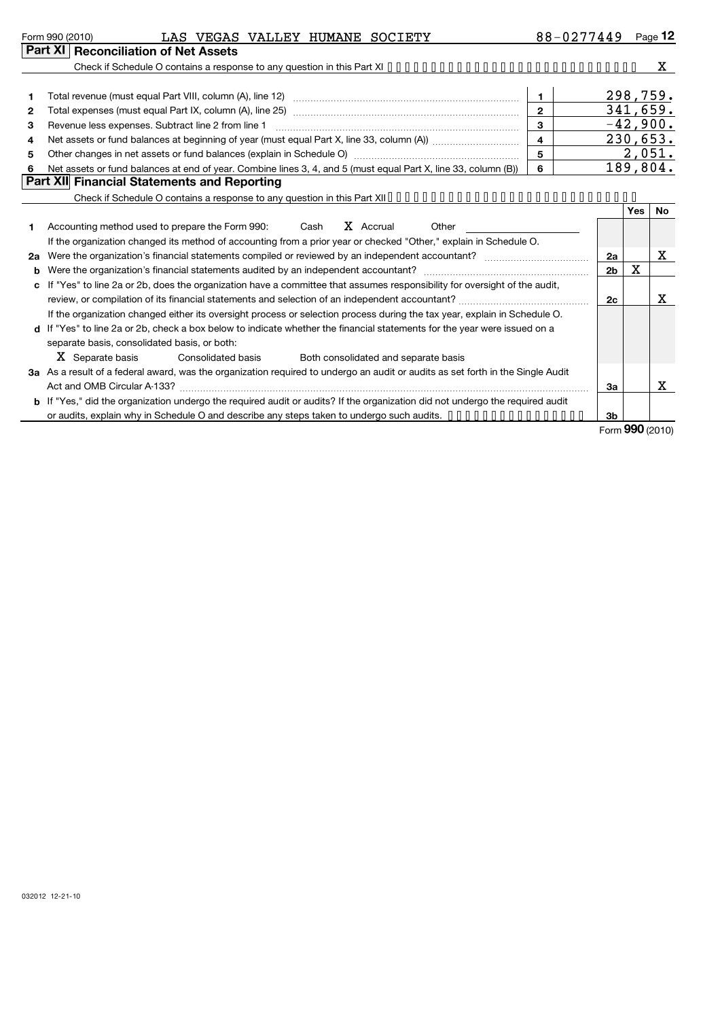| Form 990 (2010) | LAS | <b>VEGAS</b> | VALLEY | <b>HUMANE</b> | SOCIETY | $\overline{ }$<br>o c<br>. O. C. | Page<br>14 |
|-----------------|-----|--------------|--------|---------------|---------|----------------------------------|------------|
|                 |     |              |        |               |         |                                  |            |

**b** If "Yes," did the organization undergo the required audit or audits? If the organization did not undergo the required audit

Act and OMB Circular A-133? ~~~~~~~~~~~~~~~~~~~~~~~~~~~~~~~~~~~~~~~~~~~~~~~

or audits, explain why in Schedule O and describe any steps taken to undergo such audits.  $\dots\dots\dots\dots\dots\dots$ 

|    | Part XI   Reconciliation of Net Assets                                                                                          |             |                |     |            |  |
|----|---------------------------------------------------------------------------------------------------------------------------------|-------------|----------------|-----|------------|--|
|    |                                                                                                                                 |             |                |     | X          |  |
|    |                                                                                                                                 |             |                |     |            |  |
|    |                                                                                                                                 | 1.          |                |     | 298,759.   |  |
| 2  | Total expenses (must equal Part IX, column (A), line 25) www.community.community.community.community.com                        | $2^{\circ}$ |                |     | 341,659.   |  |
| 3  | Revenue less expenses. Subtract line 2 from line 1                                                                              | 3           |                |     | $-42,900.$ |  |
| 4  |                                                                                                                                 | 4           |                |     | 230,653.   |  |
| 5  | 5                                                                                                                               |             |                |     |            |  |
| 6  | Net assets or fund balances at end of year. Combine lines 3, 4, and 5 (must equal Part X, line 33, column (B))                  | 6           |                |     | 189,804.   |  |
|    | Part XII Financial Statements and Reporting                                                                                     |             |                |     |            |  |
|    | Check if Schedule O contains a response to any question in this Part XII                                                        |             |                |     |            |  |
|    |                                                                                                                                 |             |                | Yes | No.        |  |
|    | X Accrual<br>Accounting method used to prepare the Form 990: Cash<br>Other                                                      |             |                |     |            |  |
|    | If the organization changed its method of accounting from a prior year or checked "Other," explain in Schedule O.               |             |                |     |            |  |
| 2a | Were the organization's financial statements compiled or reviewed by an independent accountant?                                 |             | 2a             |     | x          |  |
| b  | Were the organization's financial statements audited by an independent accountant?                                              |             | 2 <sub>b</sub> | X   |            |  |
| c  | If "Yes" to line 2a or 2b, does the organization have a committee that assumes responsibility for oversight of the audit,       |             |                |     |            |  |
|    |                                                                                                                                 |             | 2c             |     | x.         |  |
|    | If the organization changed either its oversight process or selection process during the tax year, explain in Schedule O.       |             |                |     |            |  |
|    | d If "Yes" to line 2a or 2b, check a box below to indicate whether the financial statements for the year were issued on a       |             |                |     |            |  |
|    | separate basis, consolidated basis, or both:                                                                                    |             |                |     |            |  |
|    | X Separate basis<br>Both consolidated and separate basis<br>Consolidated basis                                                  |             |                |     |            |  |
|    | 3a As a result of a federal award, was the organization required to undergo an audit or audits as set forth in the Single Audit |             |                |     |            |  |

Form (2010) **990**

X

**3a**

**3b**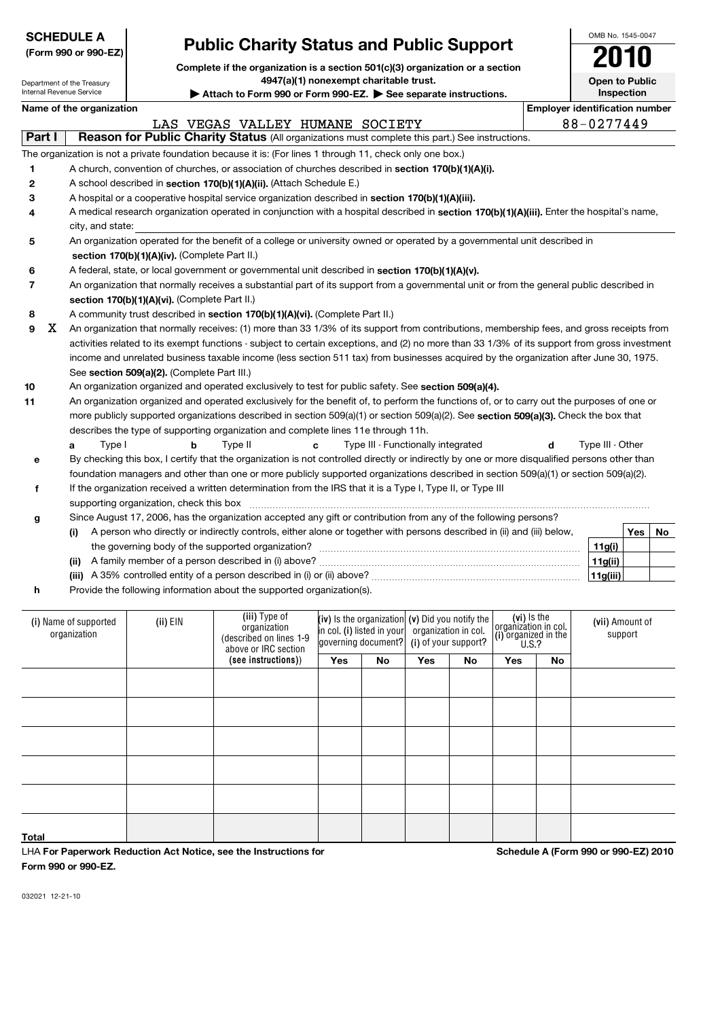## **(Form 990 or 990-EZ)**

## **Public Charity Status and Public Support** 20140

OMB No. 1545-0047

|                          |                            |                                               | Complete if the organization is a section 501(c)(3) organization or a section                                                                 |     |                            |                                    |                        |                                              |                                       | LU IU                 |            |    |
|--------------------------|----------------------------|-----------------------------------------------|-----------------------------------------------------------------------------------------------------------------------------------------------|-----|----------------------------|------------------------------------|------------------------|----------------------------------------------|---------------------------------------|-----------------------|------------|----|
|                          | Department of the Treasury |                                               | 4947(a)(1) nonexempt charitable trust.                                                                                                        |     |                            |                                    |                        |                                              |                                       | <b>Open to Public</b> |            |    |
| Internal Revenue Service |                            |                                               | Attach to Form 990 or Form 990-EZ. See separate instructions.                                                                                 |     |                            |                                    |                        |                                              |                                       |                       | Inspection |    |
|                          | Name of the organization   |                                               |                                                                                                                                               |     |                            |                                    |                        |                                              | <b>Employer identification number</b> |                       |            |    |
|                          |                            |                                               | LAS VEGAS VALLEY HUMANE SOCIETY                                                                                                               |     |                            |                                    |                        |                                              |                                       | 88-0277449            |            |    |
| Part I                   |                            |                                               | Reason for Public Charity Status (All organizations must complete this part.) See instructions.                                               |     |                            |                                    |                        |                                              |                                       |                       |            |    |
|                          |                            |                                               | The organization is not a private foundation because it is: (For lines 1 through 11, check only one box.)                                     |     |                            |                                    |                        |                                              |                                       |                       |            |    |
| 1                        |                            |                                               | A church, convention of churches, or association of churches described in section 170(b)(1)(A)(i).                                            |     |                            |                                    |                        |                                              |                                       |                       |            |    |
| 2                        |                            |                                               | A school described in section 170(b)(1)(A)(ii). (Attach Schedule E.)                                                                          |     |                            |                                    |                        |                                              |                                       |                       |            |    |
| з                        |                            |                                               | A hospital or a cooperative hospital service organization described in section 170(b)(1)(A)(iii).                                             |     |                            |                                    |                        |                                              |                                       |                       |            |    |
| 4                        |                            |                                               | A medical research organization operated in conjunction with a hospital described in section 170(b)(1)(A)(iii). Enter the hospital's name,    |     |                            |                                    |                        |                                              |                                       |                       |            |    |
|                          | city, and state:           |                                               |                                                                                                                                               |     |                            |                                    |                        |                                              |                                       |                       |            |    |
| 5                        |                            |                                               | An organization operated for the benefit of a college or university owned or operated by a governmental unit described in                     |     |                            |                                    |                        |                                              |                                       |                       |            |    |
|                          |                            | section 170(b)(1)(A)(iv). (Complete Part II.) |                                                                                                                                               |     |                            |                                    |                        |                                              |                                       |                       |            |    |
| 6                        |                            |                                               | A federal, state, or local government or governmental unit described in section 170(b)(1)(A)(v).                                              |     |                            |                                    |                        |                                              |                                       |                       |            |    |
| 7                        |                            |                                               | An organization that normally receives a substantial part of its support from a governmental unit or from the general public described in     |     |                            |                                    |                        |                                              |                                       |                       |            |    |
|                          |                            | section 170(b)(1)(A)(vi). (Complete Part II.) |                                                                                                                                               |     |                            |                                    |                        |                                              |                                       |                       |            |    |
| 8                        |                            |                                               | A community trust described in section 170(b)(1)(A)(vi). (Complete Part II.)                                                                  |     |                            |                                    |                        |                                              |                                       |                       |            |    |
| x<br>9                   |                            |                                               | An organization that normally receives: (1) more than 33 1/3% of its support from contributions, membership fees, and gross receipts from     |     |                            |                                    |                        |                                              |                                       |                       |            |    |
|                          |                            |                                               | activities related to its exempt functions - subject to certain exceptions, and (2) no more than 33 1/3% of its support from gross investment |     |                            |                                    |                        |                                              |                                       |                       |            |    |
|                          |                            |                                               | income and unrelated business taxable income (less section 511 tax) from businesses acquired by the organization after June 30, 1975.         |     |                            |                                    |                        |                                              |                                       |                       |            |    |
|                          |                            | See section 509(a)(2). (Complete Part III.)   |                                                                                                                                               |     |                            |                                    |                        |                                              |                                       |                       |            |    |
| 10                       |                            |                                               | An organization organized and operated exclusively to test for public safety. See section 509(a)(4).                                          |     |                            |                                    |                        |                                              |                                       |                       |            |    |
| 11                       |                            |                                               | An organization organized and operated exclusively for the benefit of, to perform the functions of, or to carry out the purposes of one or    |     |                            |                                    |                        |                                              |                                       |                       |            |    |
|                          |                            |                                               | more publicly supported organizations described in section 509(a)(1) or section 509(a)(2). See section 509(a)(3). Check the box that          |     |                            |                                    |                        |                                              |                                       |                       |            |    |
|                          |                            |                                               | describes the type of supporting organization and complete lines 11e through 11h.                                                             |     |                            |                                    |                        |                                              |                                       |                       |            |    |
|                          | Type I<br>a                | b                                             | Type II<br>c                                                                                                                                  |     |                            | Type III - Functionally integrated |                        |                                              | d                                     | Type III - Other      |            |    |
| е                        |                            |                                               | By checking this box, I certify that the organization is not controlled directly or indirectly by one or more disqualified persons other than |     |                            |                                    |                        |                                              |                                       |                       |            |    |
|                          |                            |                                               | foundation managers and other than one or more publicly supported organizations described in section 509(a)(1) or section 509(a)(2).          |     |                            |                                    |                        |                                              |                                       |                       |            |    |
| f                        |                            |                                               | If the organization received a written determination from the IRS that it is a Type I, Type II, or Type III                                   |     |                            |                                    |                        |                                              |                                       |                       |            |    |
|                          |                            | supporting organization, check this box       | Since August 17, 2006, has the organization accepted any gift or contribution from any of the following persons?                              |     |                            |                                    |                        |                                              |                                       |                       |            |    |
| g                        |                            |                                               | A person who directly or indirectly controls, either alone or together with persons described in (ii) and (iii) below,                        |     |                            |                                    |                        |                                              |                                       |                       | Yes        | No |
|                          | (i)                        |                                               |                                                                                                                                               |     |                            |                                    |                        |                                              |                                       | 11g(i)                |            |    |
|                          | (ii)                       |                                               |                                                                                                                                               |     |                            |                                    |                        |                                              |                                       | 11g(ii)               |            |    |
|                          |                            |                                               |                                                                                                                                               |     |                            |                                    |                        |                                              |                                       | 11g(iii)              |            |    |
| h                        |                            |                                               | Provide the following information about the supported organization(s).                                                                        |     |                            |                                    |                        |                                              |                                       |                       |            |    |
|                          |                            |                                               |                                                                                                                                               |     |                            |                                    |                        |                                              |                                       |                       |            |    |
|                          | (i) Name of supported      | $(ii)$ EIN                                    | (iii) Type of                                                                                                                                 |     | (iv) Is the organization   |                                    | (v) Did you notify the | (vi) Is the                                  |                                       | (vii) Amount of       |            |    |
|                          | organization               |                                               | organization<br>(described on lines 1-9                                                                                                       |     | in col. (i) listed in your | organization in col.               |                        | organization in col.<br>(i) organized in the |                                       |                       | support    |    |
|                          |                            |                                               | above or IRC section                                                                                                                          |     | governing document?        |                                    | (i) of your support?   | U.S.?                                        |                                       |                       |            |    |
|                          |                            |                                               | (see instructions))                                                                                                                           | Yes | <b>No</b>                  | Yes                                | No                     | Yes                                          | No                                    |                       |            |    |
|                          |                            |                                               |                                                                                                                                               |     |                            |                                    |                        |                                              |                                       |                       |            |    |
|                          |                            |                                               |                                                                                                                                               |     |                            |                                    |                        |                                              |                                       |                       |            |    |
|                          |                            |                                               |                                                                                                                                               |     |                            |                                    |                        |                                              |                                       |                       |            |    |
|                          |                            |                                               |                                                                                                                                               |     |                            |                                    |                        |                                              |                                       |                       |            |    |

LHA **For Paperwork Reduction Act Notice, see the Instructions for Form 990 or 990-EZ.**

**Schedule A (Form 990 or 990-EZ) 2010**

032021 12-21-10

**Total**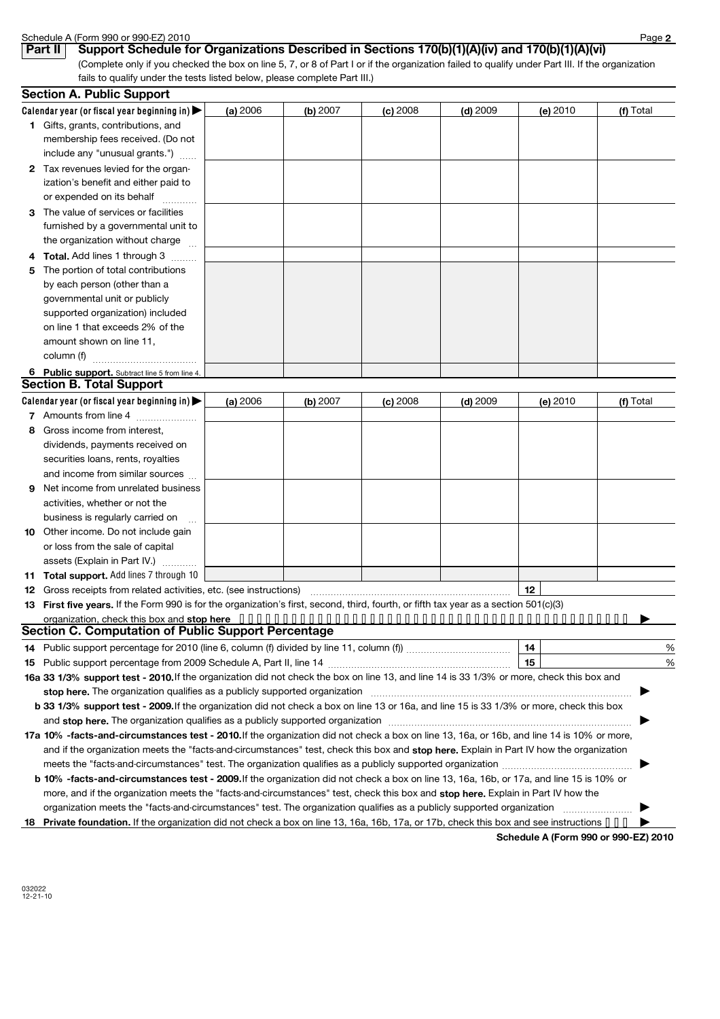|              | Schedule A (Form 990 or 990-EZ) 2010                                                                                                                                                                                          |          |          |            |            |                                      | Page 2    |
|--------------|-------------------------------------------------------------------------------------------------------------------------------------------------------------------------------------------------------------------------------|----------|----------|------------|------------|--------------------------------------|-----------|
|              | Support Schedule for Organizations Described in Sections 170(b)(1)(A)(iv) and 170(b)(1)(A)(vi)<br>Part II                                                                                                                     |          |          |            |            |                                      |           |
|              | (Complete only if you checked the box on line 5, 7, or 8 of Part I or if the organization failed to qualify under Part III. If the organization                                                                               |          |          |            |            |                                      |           |
|              | fails to qualify under the tests listed below, please complete Part III.)                                                                                                                                                     |          |          |            |            |                                      |           |
|              | <b>Section A. Public Support</b>                                                                                                                                                                                              |          |          |            |            |                                      |           |
|              | Calendar year (or fiscal year beginning in)                                                                                                                                                                                   | (a) 2006 | (b) 2007 | (c) 2008   | $(d)$ 2009 | (e) 2010                             | (f) Total |
|              | 1 Gifts, grants, contributions, and                                                                                                                                                                                           |          |          |            |            |                                      |           |
|              | membership fees received. (Do not                                                                                                                                                                                             |          |          |            |            |                                      |           |
|              | include any "unusual grants.")                                                                                                                                                                                                |          |          |            |            |                                      |           |
| $\mathbf{2}$ | Tax revenues levied for the organ-                                                                                                                                                                                            |          |          |            |            |                                      |           |
|              | ization's benefit and either paid to                                                                                                                                                                                          |          |          |            |            |                                      |           |
|              | or expended on its behalf                                                                                                                                                                                                     |          |          |            |            |                                      |           |
| 3            | The value of services or facilities                                                                                                                                                                                           |          |          |            |            |                                      |           |
|              | furnished by a governmental unit to                                                                                                                                                                                           |          |          |            |            |                                      |           |
|              | the organization without charge                                                                                                                                                                                               |          |          |            |            |                                      |           |
|              | Total. Add lines 1 through 3                                                                                                                                                                                                  |          |          |            |            |                                      |           |
| 5            | The portion of total contributions                                                                                                                                                                                            |          |          |            |            |                                      |           |
|              | by each person (other than a                                                                                                                                                                                                  |          |          |            |            |                                      |           |
|              | governmental unit or publicly                                                                                                                                                                                                 |          |          |            |            |                                      |           |
|              | supported organization) included                                                                                                                                                                                              |          |          |            |            |                                      |           |
|              | on line 1 that exceeds 2% of the                                                                                                                                                                                              |          |          |            |            |                                      |           |
|              | amount shown on line 11,                                                                                                                                                                                                      |          |          |            |            |                                      |           |
|              | column (f)                                                                                                                                                                                                                    |          |          |            |            |                                      |           |
|              | 6 Public support. Subtract line 5 from line 4.                                                                                                                                                                                |          |          |            |            |                                      |           |
|              | <b>Section B. Total Support</b>                                                                                                                                                                                               |          |          |            |            |                                      |           |
|              | Calendar year (or fiscal year beginning in)                                                                                                                                                                                   | (a) 2006 | (b) 2007 | $(c)$ 2008 | $(d)$ 2009 | (e) 2010                             | (f) Total |
|              | 7 Amounts from line 4                                                                                                                                                                                                         |          |          |            |            |                                      |           |
| 8            | Gross income from interest,                                                                                                                                                                                                   |          |          |            |            |                                      |           |
|              | dividends, payments received on                                                                                                                                                                                               |          |          |            |            |                                      |           |
|              | securities loans, rents, royalties                                                                                                                                                                                            |          |          |            |            |                                      |           |
|              | and income from similar sources                                                                                                                                                                                               |          |          |            |            |                                      |           |
| 9            | Net income from unrelated business                                                                                                                                                                                            |          |          |            |            |                                      |           |
|              |                                                                                                                                                                                                                               |          |          |            |            |                                      |           |
|              | activities, whether or not the                                                                                                                                                                                                |          |          |            |            |                                      |           |
|              | business is regularly carried on                                                                                                                                                                                              |          |          |            |            |                                      |           |
| 10           | Other income. Do not include gain                                                                                                                                                                                             |          |          |            |            |                                      |           |
|              | or loss from the sale of capital                                                                                                                                                                                              |          |          |            |            |                                      |           |
|              | assets (Explain in Part IV.)                                                                                                                                                                                                  |          |          |            |            |                                      |           |
| 11           | <b>Total support.</b> Add lines 7 through 10                                                                                                                                                                                  |          |          |            |            |                                      |           |
| 12           | Gross receipts from related activities, etc. (see instructions) manufactured activities, etc. (see instructions)                                                                                                              |          |          |            |            | 12 <sup>2</sup>                      |           |
| 13           | First five years. If the Form 990 is for the organization's first, second, third, fourth, or fifth tax year as a section 501(c)(3)                                                                                            |          |          |            |            |                                      |           |
|              | <b>Section C. Computation of Public Support Percentage</b>                                                                                                                                                                    |          |          |            |            |                                      |           |
|              |                                                                                                                                                                                                                               |          |          |            |            |                                      |           |
| 14           |                                                                                                                                                                                                                               |          |          |            |            | 14                                   | %         |
| 15           |                                                                                                                                                                                                                               |          |          |            |            | 15                                   | %         |
|              | 16a 33 1/3% support test - 2010. If the organization did not check the box on line 13, and line 14 is 33 1/3% or more, check this box and                                                                                     |          |          |            |            |                                      |           |
|              | stop here. The organization qualifies as a publicly supported organization manufaction manufacture or the organization manufacture or the state of the state of the state of the state of the state of the state of the state |          |          |            |            |                                      |           |
|              | b 33 1/3% support test - 2009. If the organization did not check a box on line 13 or 16a, and line 15 is 33 1/3% or more, check this box                                                                                      |          |          |            |            |                                      |           |
|              | and stop here. The organization qualifies as a publicly supported organization [11] manuscription manuscription manuscription manuscription and stop here. The organization qualifies as a publicly supported organization    |          |          |            |            |                                      |           |
|              | 17a 10% -facts-and-circumstances test - 2010. If the organization did not check a box on line 13, 16a, or 16b, and line 14 is 10% or more,                                                                                    |          |          |            |            |                                      |           |
|              | and if the organization meets the "facts-and-circumstances" test, check this box and stop here. Explain in Part IV how the organization                                                                                       |          |          |            |            |                                      |           |
|              |                                                                                                                                                                                                                               |          |          |            |            |                                      |           |
|              | b 10% -facts-and-circumstances test - 2009. If the organization did not check a box on line 13, 16a, 16b, or 17a, and line 15 is 10% or                                                                                       |          |          |            |            |                                      |           |
|              | more, and if the organization meets the "facts-and-circumstances" test, check this box and stop here. Explain in Part IV how the                                                                                              |          |          |            |            |                                      |           |
|              | organization meets the "facts-and-circumstances" test. The organization qualifies as a publicly supported organization                                                                                                        |          |          |            |            |                                      |           |
|              | 18 Private foundation. If the organization did not check a box on line 13, 16a, 16b, 17a, or 17b, check this box and see instructions $\cdots$                                                                                |          |          |            |            |                                      |           |
|              |                                                                                                                                                                                                                               |          |          |            |            | Schedule A (Form 990 or 990-EZ) 2010 |           |

032022 12-21-10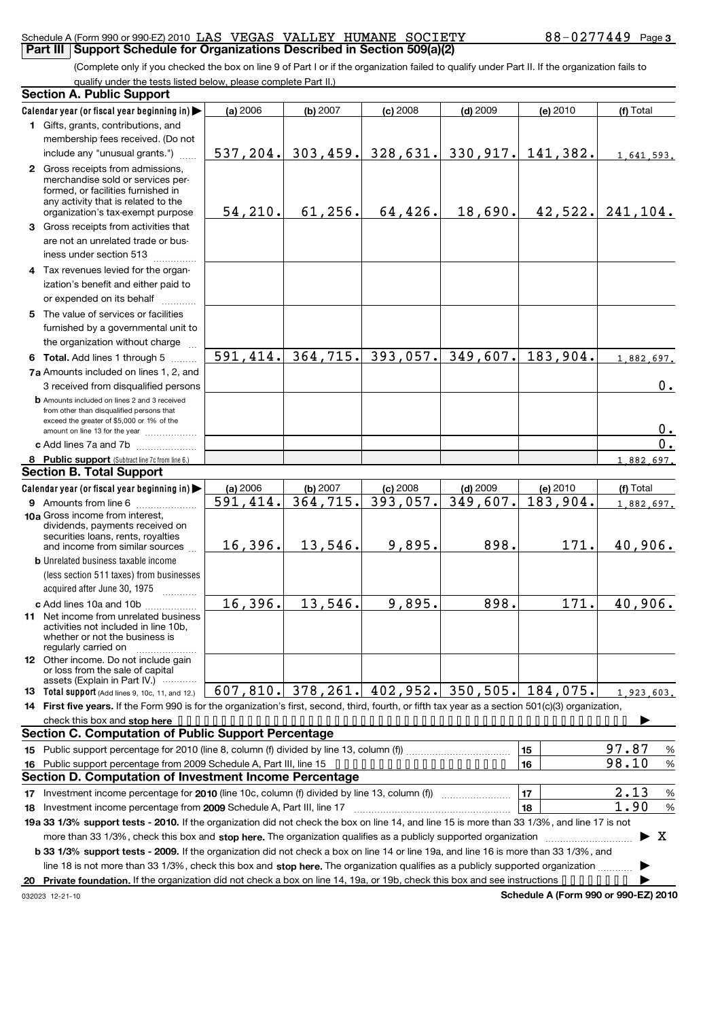#### Schedule A (Form 990 or 990-EZ) 2010 LAS VEGAS VALLEY HUMANE SOCIETY  $88-0277449$  Page **Part III** Support Schedule for Organizations Described in Section 509(a)(2)

(Complete only if you checked the box on line 9 of Part I or if the organization failed to qualify under Part II. If the organization fails to qualify under the tests listed below, please complete Part II.)

|    | <b>Section A. Public Support</b>                                                                                                                                                 |           |                        |            |                                                   |                                      |                    |
|----|----------------------------------------------------------------------------------------------------------------------------------------------------------------------------------|-----------|------------------------|------------|---------------------------------------------------|--------------------------------------|--------------------|
|    | Calendar year (or fiscal year beginning in)                                                                                                                                      | (a) 2006  | (b) 2007               | $(c)$ 2008 | $(d)$ 2009                                        | (e) 2010                             | (f) Total          |
|    | 1 Gifts, grants, contributions, and                                                                                                                                              |           |                        |            |                                                   |                                      |                    |
|    | membership fees received. (Do not                                                                                                                                                |           |                        |            |                                                   |                                      |                    |
|    | include any "unusual grants.")                                                                                                                                                   |           |                        |            | 537, 204. 303, 459. 328, 631. 330, 917. 141, 382. |                                      | 1,641,593.         |
|    | 2 Gross receipts from admissions,<br>merchandise sold or services per-<br>formed, or facilities furnished in<br>any activity that is related to the                              |           |                        |            |                                                   |                                      |                    |
|    | organization's tax-exempt purpose                                                                                                                                                | 54, 210.  | 61, 256.               | 64,426.    | 18,690.                                           |                                      | $42,522.$ 241,104. |
|    | 3 Gross receipts from activities that                                                                                                                                            |           |                        |            |                                                   |                                      |                    |
|    | are not an unrelated trade or bus-<br>iness under section 513                                                                                                                    |           |                        |            |                                                   |                                      |                    |
|    | 4 Tax revenues levied for the organ-                                                                                                                                             |           |                        |            |                                                   |                                      |                    |
|    | ization's benefit and either paid to                                                                                                                                             |           |                        |            |                                                   |                                      |                    |
|    | or expended on its behalf                                                                                                                                                        |           |                        |            |                                                   |                                      |                    |
|    | 5 The value of services or facilities                                                                                                                                            |           |                        |            |                                                   |                                      |                    |
|    | furnished by a governmental unit to<br>the organization without charge                                                                                                           |           |                        |            |                                                   |                                      |                    |
|    | 6 Total. Add lines 1 through 5                                                                                                                                                   | 591, 414. | 364, 715.              |            | $393,057.$ 349,607.                               | 183,904.                             | 1,882,697.         |
|    | 7a Amounts included on lines 1, 2, and                                                                                                                                           |           |                        |            |                                                   |                                      |                    |
|    | 3 received from disqualified persons                                                                                                                                             |           |                        |            |                                                   |                                      | 0.                 |
|    | <b>b</b> Amounts included on lines 2 and 3 received<br>from other than disqualified persons that<br>exceed the greater of \$5,000 or 1% of the<br>amount on line 13 for the year |           |                        |            |                                                   |                                      | 0.                 |
|    | c Add lines 7a and 7b                                                                                                                                                            |           |                        |            |                                                   |                                      | 0.                 |
|    | 8 Public support (Subtract line 7c from line 6.)                                                                                                                                 |           |                        |            |                                                   |                                      | 1,882,697.         |
|    | <b>Section B. Total Support</b>                                                                                                                                                  |           |                        |            |                                                   |                                      |                    |
|    | Calendar year (or fiscal year beginning in)                                                                                                                                      | (a) 2006  | (b) 2007               | $(c)$ 2008 | $(d)$ 2009                                        | (e) 2010                             | (f) Total          |
|    | 9 Amounts from line 6                                                                                                                                                            | 591, 414. | $\overline{364, 715.}$ | 393,057.   | 349,607.                                          | 183,904.                             | 1,882,697.         |
|    | <b>10a</b> Gross income from interest,<br>dividends, payments received on<br>securities loans, rents, royalties<br>and income from similar sources                               | 16, 396.  | 13,546.                | 9,895.     | 898.                                              | 171.                                 | 40,906.            |
|    | <b>b</b> Unrelated business taxable income                                                                                                                                       |           |                        |            |                                                   |                                      |                    |
|    | (less section 511 taxes) from businesses<br>acquired after June 30, 1975                                                                                                         |           |                        |            |                                                   |                                      |                    |
|    | c Add lines 10a and 10b                                                                                                                                                          | 16,396.   | 13,546.                | 9,895.     | 898.                                              | 171.                                 | 40,906.            |
|    | <b>11</b> Net income from unrelated business<br>activities not included in line 10b,<br>whether or not the business is<br>regularly carried on                                   |           |                        |            |                                                   |                                      |                    |
|    | <b>12</b> Other income. Do not include gain<br>or loss from the sale of capital<br>assets (Explain in Part IV.)                                                                  |           |                        |            |                                                   |                                      |                    |
|    | <b>13</b> Total support (Add lines 9, 10c, 11, and 12.)                                                                                                                          |           |                        |            | $607, 810.$ 378, 261. 402, 952. 350, 505.         | 184,075.                             | 1.923.603.         |
|    | 14 First five years. If the Form 990 is for the organization's first, second, third, fourth, or fifth tax year as a section 501(c)(3) organization,                              |           |                        |            |                                                   |                                      |                    |
|    |                                                                                                                                                                                  |           |                        |            |                                                   |                                      |                    |
|    | <b>Section C. Computation of Public Support Percentage</b>                                                                                                                       |           |                        |            |                                                   |                                      |                    |
|    |                                                                                                                                                                                  |           |                        |            |                                                   | 15                                   | 97.87<br>%         |
| 16 | Public support percentage from 2009 Schedule A, Part III, line 15                                                                                                                |           |                        |            |                                                   | 16                                   | 98.10<br>%         |
|    | Section D. Computation of Investment Income Percentage                                                                                                                           |           |                        |            |                                                   |                                      |                    |
|    |                                                                                                                                                                                  |           |                        |            |                                                   | 17                                   | 2.13<br>$\%$       |
|    |                                                                                                                                                                                  |           |                        |            |                                                   | 18                                   | 1.90<br>%          |
|    | 19a 33 1/3% support tests - 2010. If the organization did not check the box on line 14, and line 15 is more than 33 1/3%, and line 17 is not                                     |           |                        |            |                                                   |                                      |                    |
|    | more than 33 1/3%, check this box and stop here. The organization qualifies as a publicly supported organization                                                                 |           |                        |            |                                                   |                                      | x<br>▶             |
|    | b 33 1/3% support tests - 2009. If the organization did not check a box on line 14 or line 19a, and line 16 is more than 33 1/3%, and                                            |           |                        |            |                                                   |                                      |                    |
|    | line 18 is not more than 33 1/3%, check this box and stop here. The organization qualifies as a publicly supported organization                                                  |           |                        |            |                                                   |                                      |                    |
| 20 | Private foundation. If the organization did not check a box on line 14, 19a, or 19b, check this box and see instructions                                                         |           |                        |            |                                                   |                                      |                    |
|    | 032023 12-21-10                                                                                                                                                                  |           |                        |            |                                                   | Schedule A (Form 990 or 990-EZ) 2010 |                    |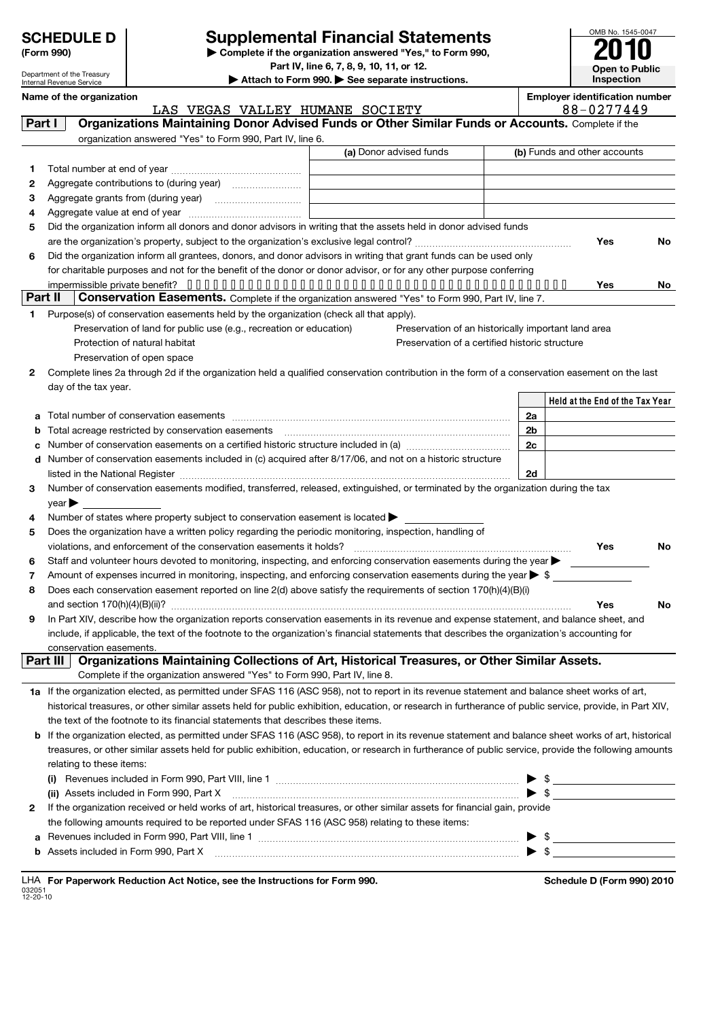| (Form 990) |  |
|------------|--|

Department of the Treasury Internal Revenue Service

# **(Form 990) Deperted Trancial Statements COMB No. 1545-004**<br> **Supplemental Financial Statements 2010**

**Part IV, line 6, 7, 8, 9, 10, 11, or 12.**

OMB No. 1545-0047 **Open to Public Inspection**

Name of the organization **Name of the organization Employer identification** number

**| Attach to Form 990. | See separate instructions.**

|         | LAS VEGAS VALLEY HUMANE SOCIETY                                                                                                                            |                          | 88-0277449                      |           |
|---------|------------------------------------------------------------------------------------------------------------------------------------------------------------|--------------------------|---------------------------------|-----------|
| Part I  | Organizations Maintaining Donor Advised Funds or Other Similar Funds or Accounts. Complete if the                                                          |                          |                                 |           |
|         | organization answered "Yes" to Form 990, Part IV, line 6.                                                                                                  |                          |                                 |           |
|         | (a) Donor advised funds                                                                                                                                    |                          | (b) Funds and other accounts    |           |
| 1       |                                                                                                                                                            |                          |                                 |           |
| 2       |                                                                                                                                                            |                          |                                 |           |
| 3       |                                                                                                                                                            |                          |                                 |           |
| 4       |                                                                                                                                                            |                          |                                 |           |
| 5       | Did the organization inform all donors and donor advisors in writing that the assets held in donor advised funds                                           |                          |                                 |           |
|         |                                                                                                                                                            |                          | Yes                             | No        |
|         | Did the organization inform all grantees, donors, and donor advisors in writing that grant funds can be used only                                          |                          |                                 |           |
| 6       | for charitable purposes and not for the benefit of the donor or donor advisor, or for any other purpose conferring                                         |                          |                                 |           |
|         |                                                                                                                                                            |                          |                                 |           |
| Part II | Conservation Easements. Complete if the organization answered "Yes" to Form 990, Part IV, line 7.                                                          |                          | Yes                             | No.       |
|         |                                                                                                                                                            |                          |                                 |           |
| 1       | Purpose(s) of conservation easements held by the organization (check all that apply).                                                                      |                          |                                 |           |
|         | Preservation of land for public use (e.g., recreation or education)<br>Preservation of an historically important land area                                 |                          |                                 |           |
|         | Protection of natural habitat<br>Preservation of a certified historic structure                                                                            |                          |                                 |           |
|         | Preservation of open space                                                                                                                                 |                          |                                 |           |
| 2       | Complete lines 2a through 2d if the organization held a qualified conservation contribution in the form of a conservation easement on the last             |                          |                                 |           |
|         | day of the tax year.                                                                                                                                       |                          |                                 |           |
|         |                                                                                                                                                            |                          | Held at the End of the Tax Year |           |
| a       |                                                                                                                                                            | 2a                       |                                 |           |
| b       |                                                                                                                                                            | 2 <sub>b</sub>           |                                 |           |
| c       |                                                                                                                                                            | 2c                       |                                 |           |
|         | d Number of conservation easements included in (c) acquired after 8/17/06, and not on a historic structure                                                 |                          |                                 |           |
|         |                                                                                                                                                            | 2d                       |                                 |           |
| 3       | Number of conservation easements modified, transferred, released, extinguished, or terminated by the organization during the tax                           |                          |                                 |           |
|         | $year \blacktriangleright$                                                                                                                                 |                          |                                 |           |
| 4       | Number of states where property subject to conservation easement is located >                                                                              |                          |                                 |           |
| 5       | Does the organization have a written policy regarding the periodic monitoring, inspection, handling of                                                     |                          |                                 |           |
|         | violations, and enforcement of the conservation easements it holds?                                                                                        |                          | Yes                             | No        |
| 6       | Staff and volunteer hours devoted to monitoring, inspecting, and enforcing conservation easements during the year                                          |                          |                                 |           |
| 7       | Amount of expenses incurred in monitoring, inspecting, and enforcing conservation easements during the year $\triangleright$ \$                            |                          |                                 |           |
| 8       | Does each conservation easement reported on line 2(d) above satisfy the requirements of section 170(h)(4)(B)(i)                                            |                          |                                 |           |
|         |                                                                                                                                                            |                          | Yes                             | <b>No</b> |
| 9       | In Part XIV, describe how the organization reports conservation easements in its revenue and expense statement, and balance sheet, and                     |                          |                                 |           |
|         | include, if applicable, the text of the footnote to the organization's financial statements that describes the organization's accounting for               |                          |                                 |           |
|         | conservation easements.                                                                                                                                    |                          |                                 |           |
|         | Organizations Maintaining Collections of Art, Historical Treasures, or Other Similar Assets.<br>Part III                                                   |                          |                                 |           |
|         | Complete if the organization answered "Yes" to Form 990, Part IV, line 8.                                                                                  |                          |                                 |           |
|         | 1a If the organization elected, as permitted under SFAS 116 (ASC 958), not to report in its revenue statement and balance sheet works of art,              |                          |                                 |           |
|         | historical treasures, or other similar assets held for public exhibition, education, or research in furtherance of public service, provide, in Part XIV,   |                          |                                 |           |
|         | the text of the footnote to its financial statements that describes these items.                                                                           |                          |                                 |           |
|         | <b>b</b> If the organization elected, as permitted under SFAS 116 (ASC 958), to report in its revenue statement and balance sheet works of art, historical |                          |                                 |           |
|         | treasures, or other similar assets held for public exhibition, education, or research in furtherance of public service, provide the following amounts      |                          |                                 |           |
|         | relating to these items:                                                                                                                                   |                          |                                 |           |
|         |                                                                                                                                                            |                          |                                 |           |
|         | (ii) Assets included in Form 990, Part X                                                                                                                   | $\blacktriangleright$ \$ |                                 |           |
| 2       | If the organization received or held works of art, historical treasures, or other similar assets for financial gain, provide                               |                          |                                 |           |
|         | the following amounts required to be reported under SFAS 116 (ASC 958) relating to these items:                                                            |                          |                                 |           |
|         |                                                                                                                                                            |                          |                                 |           |
| a       | b Assets included in Form 990, Part X [11] [2000] [2010] [2010] [30] [30] Assets included in Form 990, Part X                                              | $\blacktriangleright$ \$ | $\triangleright$ \$             |           |
|         |                                                                                                                                                            |                          |                                 |           |

|                          |  |  | LHA For Paperwork Reduction Act Notice, see the Instructions for Form 990 |  |
|--------------------------|--|--|---------------------------------------------------------------------------|--|
| 032051<br>$12 - 20 - 10$ |  |  |                                                                           |  |

**For Paperwork Reduction Act Notice, Schedule D (Form 990) 2010**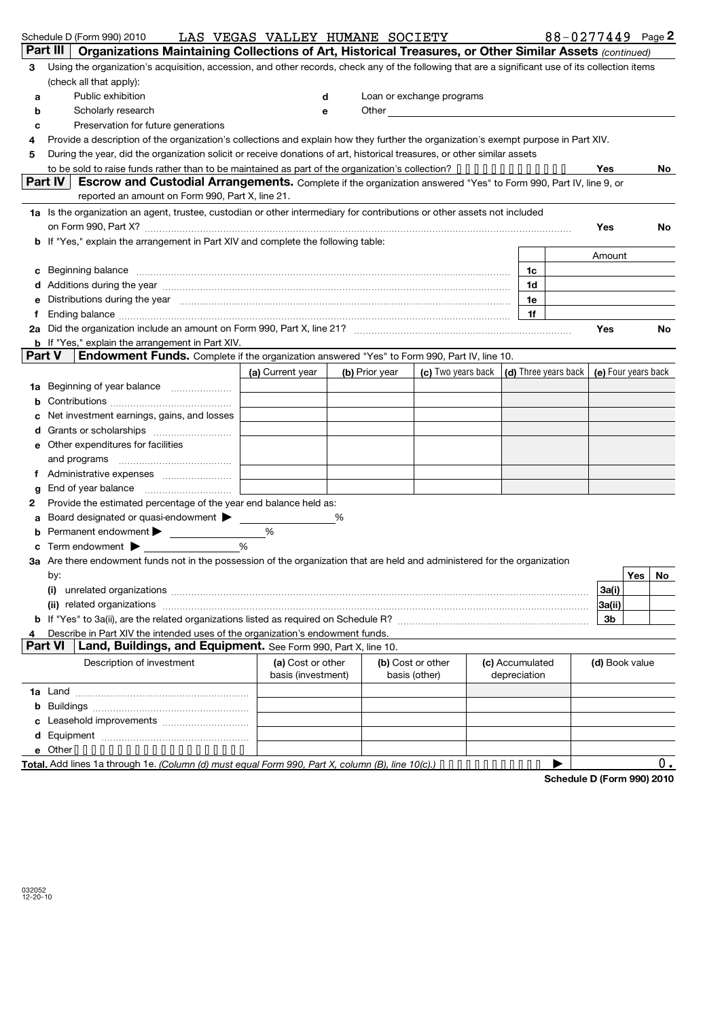|        | Schedule D (Form 990) 2010                                                                                                                                                                                                     | LAS VEGAS VALLEY HUMANE SOCIETY |                |                                                                             |                 |                | 88-0277449 Page 2 |
|--------|--------------------------------------------------------------------------------------------------------------------------------------------------------------------------------------------------------------------------------|---------------------------------|----------------|-----------------------------------------------------------------------------|-----------------|----------------|-------------------|
|        | Part III<br>Organizations Maintaining Collections of Art, Historical Treasures, or Other Similar Assets (continued)                                                                                                            |                                 |                |                                                                             |                 |                |                   |
| 3      | Using the organization's acquisition, accession, and other records, check any of the following that are a significant use of its collection items                                                                              |                                 |                |                                                                             |                 |                |                   |
|        | (check all that apply):                                                                                                                                                                                                        |                                 |                |                                                                             |                 |                |                   |
| a      | Public exhibition                                                                                                                                                                                                              |                                 | d              | Loan or exchange programs                                                   |                 |                |                   |
| b      | Scholarly research                                                                                                                                                                                                             |                                 | е              | Other <u>Communication</u>                                                  |                 |                |                   |
| c      | Preservation for future generations                                                                                                                                                                                            |                                 |                |                                                                             |                 |                |                   |
| 4      | Provide a description of the organization's collections and explain how they further the organization's exempt purpose in Part XIV.                                                                                            |                                 |                |                                                                             |                 |                |                   |
| 5      | During the year, did the organization solicit or receive donations of art, historical treasures, or other similar assets                                                                                                       |                                 |                |                                                                             |                 |                |                   |
|        | to be sold to raise funds rather than to be maintained as part of the organization's collection? $\cdots$                                                                                                                      |                                 |                |                                                                             |                 | Yes            | No.               |
|        | Part IV<br>Escrow and Custodial Arrangements. Complete if the organization answered "Yes" to Form 990, Part IV, line 9, or                                                                                                     |                                 |                |                                                                             |                 |                |                   |
|        | reported an amount on Form 990, Part X, line 21.                                                                                                                                                                               |                                 |                |                                                                             |                 |                |                   |
|        | 1a Is the organization an agent, trustee, custodian or other intermediary for contributions or other assets not included                                                                                                       |                                 |                |                                                                             |                 |                |                   |
|        | on Form 990, Part X? [11] matter and the contract of the contract of the contract of the contract of the contract of the contract of the contract of the contract of the contract of the contract of the contract of the contr |                                 |                |                                                                             |                 | Yes            | No.               |
|        | b If "Yes," explain the arrangement in Part XIV and complete the following table:                                                                                                                                              |                                 |                |                                                                             |                 |                |                   |
|        |                                                                                                                                                                                                                                |                                 |                |                                                                             |                 | Amount         |                   |
| с      | Beginning balance measurements and contain a series of the series of the series of the series of the series of                                                                                                                 |                                 |                |                                                                             | 1c              |                |                   |
|        |                                                                                                                                                                                                                                |                                 |                |                                                                             | 1d              |                |                   |
|        | Distributions during the year with an accommodal contract to the state of the year with the year with the state of the state of the state of the state of the state of the state of the state of the state of the state of the |                                 |                |                                                                             | 1e              |                |                   |
|        |                                                                                                                                                                                                                                |                                 |                |                                                                             | 1f              |                |                   |
| 2а     |                                                                                                                                                                                                                                |                                 |                |                                                                             |                 | Yes            | No                |
|        | <b>b</b> If "Yes," explain the arrangement in Part XIV.<br>Part V                                                                                                                                                              |                                 |                |                                                                             |                 |                |                   |
|        | <b>Endowment Funds.</b> Complete if the organization answered "Yes" to Form 990, Part IV, line 10.                                                                                                                             |                                 |                |                                                                             |                 |                |                   |
|        |                                                                                                                                                                                                                                | (a) Current year                | (b) Prior year | (c) Two years back $\vert$ (d) Three years back $\vert$ (e) Four years back |                 |                |                   |
| 1a     | Beginning of year balance                                                                                                                                                                                                      |                                 |                |                                                                             |                 |                |                   |
| b      |                                                                                                                                                                                                                                |                                 |                |                                                                             |                 |                |                   |
| c      | Net investment earnings, gains, and losses                                                                                                                                                                                     |                                 |                |                                                                             |                 |                |                   |
|        |                                                                                                                                                                                                                                |                                 |                |                                                                             |                 |                |                   |
| е      | Other expenditures for facilities                                                                                                                                                                                              |                                 |                |                                                                             |                 |                |                   |
|        |                                                                                                                                                                                                                                |                                 |                |                                                                             |                 |                |                   |
| f      |                                                                                                                                                                                                                                |                                 |                |                                                                             |                 |                |                   |
| g<br>2 | Provide the estimated percentage of the year end balance held as:                                                                                                                                                              |                                 |                |                                                                             |                 |                |                   |
| a      | Board designated or quasi-endowment > ___                                                                                                                                                                                      |                                 | %              |                                                                             |                 |                |                   |
| b      | Permanent endowment > ___________                                                                                                                                                                                              | %                               |                |                                                                             |                 |                |                   |
|        | Term endowment $\blacktriangleright$                                                                                                                                                                                           | $\%$                            |                |                                                                             |                 |                |                   |
|        | 3a Are there endowment funds not in the possession of the organization that are held and administered for the organization                                                                                                     |                                 |                |                                                                             |                 |                |                   |
|        | by:                                                                                                                                                                                                                            |                                 |                |                                                                             |                 |                | Yes<br>No         |
|        | (i)                                                                                                                                                                                                                            |                                 |                |                                                                             |                 | 3a(i)          |                   |
|        |                                                                                                                                                                                                                                |                                 |                |                                                                             |                 | 3a(ii)         |                   |
|        |                                                                                                                                                                                                                                |                                 |                |                                                                             |                 | 3b             |                   |
| 4      | Describe in Part XIV the intended uses of the organization's endowment funds.                                                                                                                                                  |                                 |                |                                                                             |                 |                |                   |
|        | <b>Part VI</b><br>Land, Buildings, and Equipment. See Form 990, Part X, line 10.                                                                                                                                               |                                 |                |                                                                             |                 |                |                   |
|        | Description of investment                                                                                                                                                                                                      | (a) Cost or other               |                | (b) Cost or other                                                           | (c) Accumulated | (d) Book value |                   |
|        |                                                                                                                                                                                                                                | basis (investment)              |                | basis (other)                                                               | depreciation    |                |                   |
|        |                                                                                                                                                                                                                                |                                 |                |                                                                             |                 |                |                   |
| b      |                                                                                                                                                                                                                                |                                 |                |                                                                             |                 |                |                   |
| c      |                                                                                                                                                                                                                                |                                 |                |                                                                             |                 |                |                   |
| d      |                                                                                                                                                                                                                                |                                 |                |                                                                             |                 |                |                   |
|        | e Other                                                                                                                                                                                                                        |                                 |                |                                                                             |                 |                |                   |
|        | Total. Add lines 1a through 1e. (Column (d) must equal Form 990, Part X, column (B), line 10(c).)                                                                                                                              |                                 |                |                                                                             |                 |                | $0$ .             |

**Total.** Add lines 1a through 1e. *(Column (d) must equal Form 990, Part X, column (B), line 10(c).)* • • • • • • • • • • • • • • •

**Schedule D (Form 990) 2010**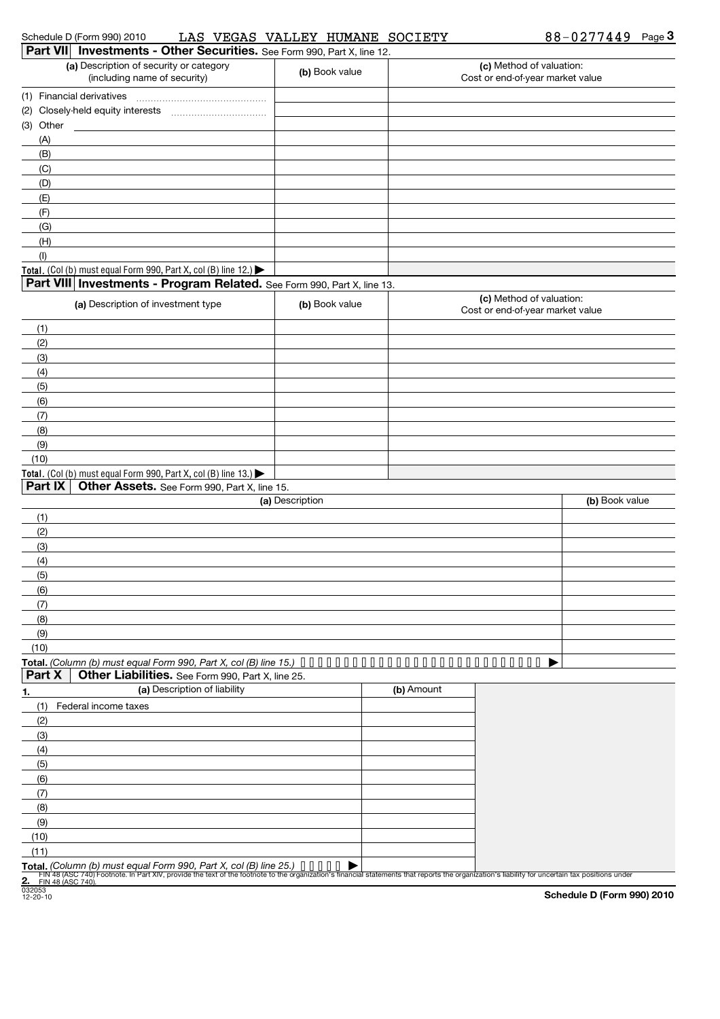|      | <b>Part VII</b> Investments - Other Securities. See Form 990, Part X, line 12.<br>(a) Description of security or category                                                                                                         |                 |            | (c) Method of valuation:         |                |
|------|-----------------------------------------------------------------------------------------------------------------------------------------------------------------------------------------------------------------------------------|-----------------|------------|----------------------------------|----------------|
|      | (including name of security)                                                                                                                                                                                                      | (b) Book value  |            | Cost or end-of-year market value |                |
|      |                                                                                                                                                                                                                                   |                 |            |                                  |                |
|      | (2) Closely-held equity interests                                                                                                                                                                                                 |                 |            |                                  |                |
|      | (3) Other                                                                                                                                                                                                                         |                 |            |                                  |                |
|      | (A)                                                                                                                                                                                                                               |                 |            |                                  |                |
|      | (B)                                                                                                                                                                                                                               |                 |            |                                  |                |
|      | (C)                                                                                                                                                                                                                               |                 |            |                                  |                |
|      | (D)                                                                                                                                                                                                                               |                 |            |                                  |                |
|      | (E)                                                                                                                                                                                                                               |                 |            |                                  |                |
|      | (F)                                                                                                                                                                                                                               |                 |            |                                  |                |
|      | (G)                                                                                                                                                                                                                               |                 |            |                                  |                |
|      | (H)                                                                                                                                                                                                                               |                 |            |                                  |                |
|      | (1)                                                                                                                                                                                                                               |                 |            |                                  |                |
|      | Total. (Col (b) must equal Form 990, Part X, col (B) line 12.)<br>Part VIII Investments - Program Related. See Form 990, Part X, line 13.                                                                                         |                 |            |                                  |                |
|      |                                                                                                                                                                                                                                   |                 |            | (c) Method of valuation:         |                |
|      | (a) Description of investment type                                                                                                                                                                                                | (b) Book value  |            | Cost or end-of-year market value |                |
| (1)  |                                                                                                                                                                                                                                   |                 |            |                                  |                |
| (2)  |                                                                                                                                                                                                                                   |                 |            |                                  |                |
| (3)  |                                                                                                                                                                                                                                   |                 |            |                                  |                |
| (4)  |                                                                                                                                                                                                                                   |                 |            |                                  |                |
| (5)  |                                                                                                                                                                                                                                   |                 |            |                                  |                |
| (6)  |                                                                                                                                                                                                                                   |                 |            |                                  |                |
| (7)  |                                                                                                                                                                                                                                   |                 |            |                                  |                |
| (8)  |                                                                                                                                                                                                                                   |                 |            |                                  |                |
| (9)  |                                                                                                                                                                                                                                   |                 |            |                                  |                |
| (10) |                                                                                                                                                                                                                                   |                 |            |                                  |                |
|      | Total. (Col (b) must equal Form 990, Part X, col (B) line 13.)                                                                                                                                                                    |                 |            |                                  |                |
|      | Part IX<br>Other Assets. See Form 990, Part X, line 15.                                                                                                                                                                           |                 |            |                                  |                |
|      |                                                                                                                                                                                                                                   | (a) Description |            |                                  | (b) Book value |
| (1)  |                                                                                                                                                                                                                                   |                 |            |                                  |                |
| (2)  |                                                                                                                                                                                                                                   |                 |            |                                  |                |
| (3)  |                                                                                                                                                                                                                                   |                 |            |                                  |                |
| (4)  |                                                                                                                                                                                                                                   |                 |            |                                  |                |
| (5)  |                                                                                                                                                                                                                                   |                 |            |                                  |                |
| (6)  |                                                                                                                                                                                                                                   |                 |            |                                  |                |
| (7)  |                                                                                                                                                                                                                                   |                 |            |                                  |                |
| (8)  |                                                                                                                                                                                                                                   |                 |            |                                  |                |
| (9)  |                                                                                                                                                                                                                                   |                 |            |                                  |                |
| (10) |                                                                                                                                                                                                                                   |                 |            |                                  |                |
|      | Total. (Column (b) must equal Form 990, Part X, col (B) line 15.) $\cdots \cdots \cdots \cdots \cdots \cdots$                                                                                                                     |                 |            | .                                |                |
|      | Part X<br>Other Liabilities. See Form 990, Part X, line 25.                                                                                                                                                                       |                 |            |                                  |                |
| 1.   | (a) Description of liability                                                                                                                                                                                                      |                 | (b) Amount |                                  |                |
|      | (1)<br>Federal income taxes                                                                                                                                                                                                       |                 |            |                                  |                |
| (2)  |                                                                                                                                                                                                                                   |                 |            |                                  |                |
| (3)  |                                                                                                                                                                                                                                   |                 |            |                                  |                |
| (4)  |                                                                                                                                                                                                                                   |                 |            |                                  |                |
| (5)  |                                                                                                                                                                                                                                   |                 |            |                                  |                |
| (6)  |                                                                                                                                                                                                                                   |                 |            |                                  |                |
| (7)  |                                                                                                                                                                                                                                   |                 |            |                                  |                |
| (8)  |                                                                                                                                                                                                                                   |                 |            |                                  |                |
| (9)  |                                                                                                                                                                                                                                   |                 |            |                                  |                |
| (10) |                                                                                                                                                                                                                                   |                 |            |                                  |                |
| (11) |                                                                                                                                                                                                                                   |                 |            |                                  |                |
|      | Total. (Column (b) must equal Form 990, Part X, col (B) line 25.)<br>FIN 48 (ASC 740) Footnote. In Part XIV, provide the text of the footnote to the organization's financial statements that reports the organization's liabilit |                 |            |                                  |                |
|      |                                                                                                                                                                                                                                   |                 |            |                                  |                |

032053 12-20-10

**Schedule D (Form 990) 2010**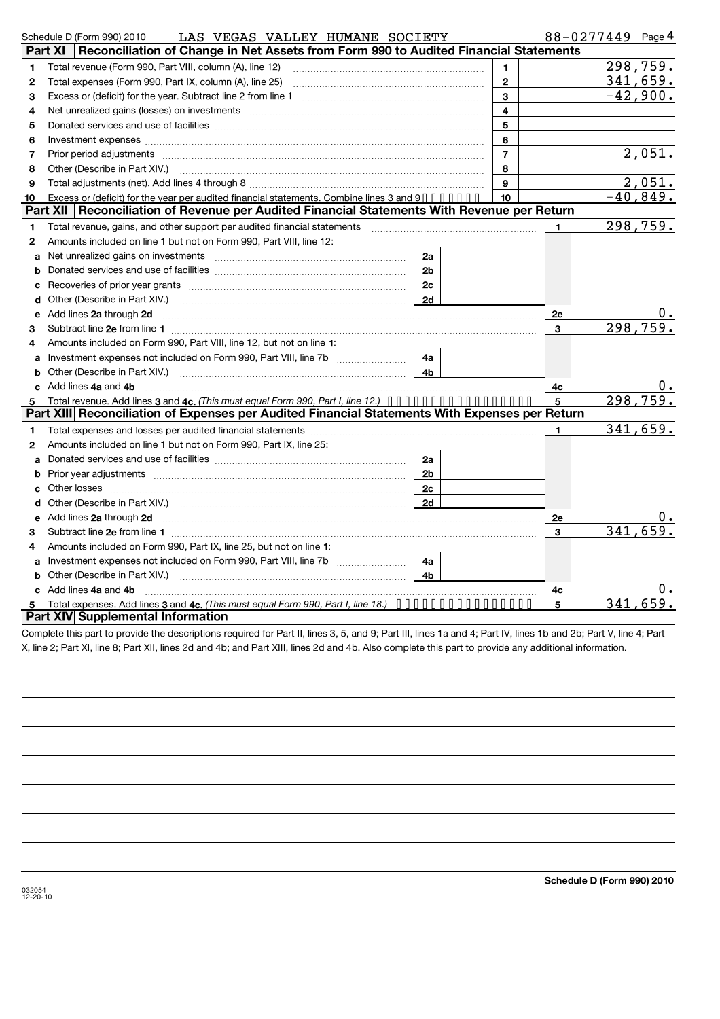|              | LAS VEGAS VALLEY HUMANE SOCIETY<br>Schedule D (Form 990) 2010                                                                                                                                                                      |                |              | $88 - 0277449$ Page 4 |            |
|--------------|------------------------------------------------------------------------------------------------------------------------------------------------------------------------------------------------------------------------------------|----------------|--------------|-----------------------|------------|
|              | Reconciliation of Change in Net Assets from Form 990 to Audited Financial Statements<br>Part XI                                                                                                                                    |                |              |                       |            |
| 1            | Total revenue (Form 990, Part VIII, column (A), line 12)                                                                                                                                                                           | 1              |              |                       | 298,759.   |
| $\mathbf{2}$ | Total expenses (Form 990, Part IX, column (A), line 25)                                                                                                                                                                            | $\mathbf{2}$   |              |                       | 341,659.   |
| 3            |                                                                                                                                                                                                                                    | 3              |              |                       | $-42,900.$ |
| 4            | Net unrealized gains (losses) on investments [111] Martin Martin Martin Martin Martin Martin Martin Martin Mar                                                                                                                     | $\overline{4}$ |              |                       |            |
| 5            |                                                                                                                                                                                                                                    | 5              |              |                       |            |
| 6            | Investment expenses [111] has a series and the series of the series and the series of the series and the series of the series of the series and the series of the series of the series of the series of the series of the seri     | 6              |              |                       |            |
| 7            | Prior period adjustments [111] matter contract to a set of the contract of the contract of the contract of the                                                                                                                     | $\overline{7}$ |              |                       | 2,051.     |
| 8            | Other (Describe in Part XIV.) [11] [2000] [2000] [2010] [2010] [3000] [3000] [3000] [3000] [3000] [3000] [3000                                                                                                                     | 8              |              |                       |            |
| 9            |                                                                                                                                                                                                                                    | 9              |              |                       | 2,051.     |
| 10           | Excess or (deficit) for the year per audited financial statements. Combine lines 3 and 9                                                                                                                                           | 10             |              |                       | $-40,849.$ |
|              | Part XII   Reconciliation of Revenue per Audited Financial Statements With Revenue per Return                                                                                                                                      |                |              |                       |            |
| 1            |                                                                                                                                                                                                                                    |                | $\mathbf{1}$ |                       | 298,759.   |
| $\mathbf{2}$ | Amounts included on line 1 but not on Form 990, Part VIII, line 12:                                                                                                                                                                |                |              |                       |            |
| a            | 2a<br>Net unrealized gains on investments [11] Martin Martin Martin Martin Martin Martin Martin Martin Martin Martin                                                                                                               |                |              |                       |            |
| b            | 2 <sub>b</sub>                                                                                                                                                                                                                     |                |              |                       |            |
| с            | 2c                                                                                                                                                                                                                                 |                |              |                       |            |
| d            | 2d                                                                                                                                                                                                                                 |                |              |                       |            |
| е            | Add lines 2a through 2d <b>manufactures</b> in the contract of the contract of the contract of the contract of the contract of the contract of the contract of the contract of the contract of the contract of the contract of the |                | <b>2e</b>    |                       |            |
| 3            |                                                                                                                                                                                                                                    |                | 3            |                       | 298, 759.  |
| 4            | Amounts included on Form 990, Part VIII, line 12, but not on line 1:                                                                                                                                                               |                |              |                       |            |
|              | Investment expenses not included on Form 990, Part VIII, line 7b<br>4a                                                                                                                                                             |                |              |                       |            |
| b            | 4b                                                                                                                                                                                                                                 |                |              |                       |            |
|              | c Add lines 4a and 4b                                                                                                                                                                                                              |                | 4c           |                       |            |
| 5            | Total revenue. Add lines 3 and 4c. (This must equal Form 990, Part I, line 12.) $\dots \dots \dots \dots \dots \dots$                                                                                                              |                | 5            |                       | 298,759.   |
|              | Part XIII Reconciliation of Expenses per Audited Financial Statements With Expenses per Return                                                                                                                                     |                |              |                       |            |
| 1            |                                                                                                                                                                                                                                    |                | $\mathbf{1}$ |                       | 341,659.   |
| $\mathbf{2}$ | Amounts included on line 1 but not on Form 990, Part IX, line 25:                                                                                                                                                                  |                |              |                       |            |
| a            | 2a                                                                                                                                                                                                                                 |                |              |                       |            |
| b            | Prior year adjustments manufactured and control and control of the manufactured and prior year adjustments<br>2 <sub>b</sub>                                                                                                       |                |              |                       |            |
| C.           | 2c                                                                                                                                                                                                                                 |                |              |                       |            |
| d            | 2d                                                                                                                                                                                                                                 |                |              |                       |            |
| е            | Add lines 2a through 2d <b>manufactures</b> in the contract of the contract of the contract of the contract of the contract of the contract of the contract of the contract of the contract of the contract of the contract of the |                | 2e           |                       |            |
| 3            |                                                                                                                                                                                                                                    |                | 3            |                       | 341,659.   |
| 4            | Amounts included on Form 990, Part IX, line 25, but not on line 1:                                                                                                                                                                 |                |              |                       |            |
| a            | 4a                                                                                                                                                                                                                                 |                |              |                       |            |
| b            | 4b                                                                                                                                                                                                                                 |                |              |                       |            |
|              | c Add lines 4a and 4b                                                                                                                                                                                                              |                | 4с           |                       | Ο.         |
|              | Total expenses. Add lines 3 and 4c. (This must equal Form 990, Part I, line 18.) $\cdots \cdots \cdots \cdots \cdots$                                                                                                              |                | 5            | 341                   | 659        |
|              | Part XIV Supplemental Information                                                                                                                                                                                                  |                |              |                       |            |

Complete this part to provide the descriptions required for Part II, lines 3, 5, and 9; Part III, lines 1a and 4; Part IV, lines 1b and 2b; Part V, line 4; Part X, line 2; Part XI, line 8; Part XII, lines 2d and 4b; and Part XIII, lines 2d and 4b. Also complete this part to provide any additional information.

**4**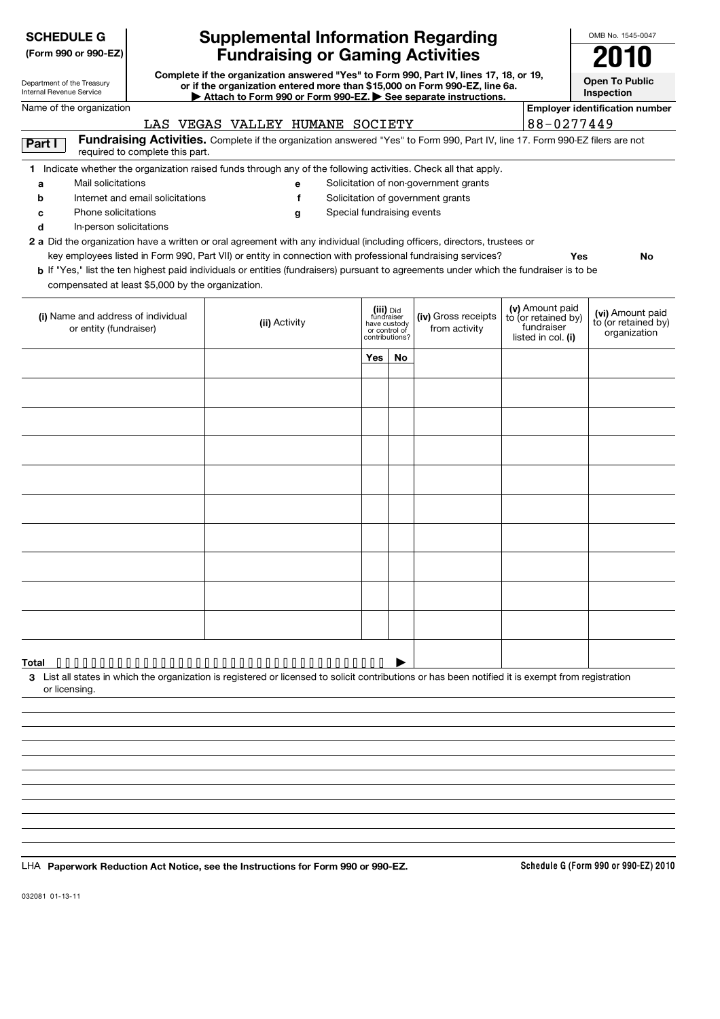| <b>SCHEDULE G</b>                                                                        |                                                                                                                                                                      | <b>Supplemental Information Regarding</b>                                                                                                                                                                                                                                                 |                                                                            |    |                                                                            |                                                                            | OMB No. 1545-0047                                       |
|------------------------------------------------------------------------------------------|----------------------------------------------------------------------------------------------------------------------------------------------------------------------|-------------------------------------------------------------------------------------------------------------------------------------------------------------------------------------------------------------------------------------------------------------------------------------------|----------------------------------------------------------------------------|----|----------------------------------------------------------------------------|----------------------------------------------------------------------------|---------------------------------------------------------|
| (Form 990 or 990-EZ)                                                                     | <b>Fundraising or Gaming Activities</b>                                                                                                                              |                                                                                                                                                                                                                                                                                           |                                                                            |    |                                                                            |                                                                            |                                                         |
| Department of the Treasury<br>Internal Revenue Service                                   | Complete if the organization answered "Yes" to Form 990, Part IV, lines 17, 18, or 19,<br>or if the organization entered more than \$15,000 on Form 990-EZ, line 6a. |                                                                                                                                                                                                                                                                                           | <b>Open To Public</b><br>Inspection                                        |    |                                                                            |                                                                            |                                                         |
| Name of the organization                                                                 |                                                                                                                                                                      | Attach to Form 990 or Form 990-EZ. See separate instructions.                                                                                                                                                                                                                             |                                                                            |    |                                                                            |                                                                            | <b>Employer identification number</b>                   |
|                                                                                          |                                                                                                                                                                      | LAS VEGAS VALLEY HUMANE SOCIETY                                                                                                                                                                                                                                                           |                                                                            |    |                                                                            | 88-0277449                                                                 |                                                         |
| Part I                                                                                   | required to complete this part.                                                                                                                                      | Fundraising Activities. Complete if the organization answered "Yes" to Form 990, Part IV, line 17. Form 990-EZ filers are not                                                                                                                                                             |                                                                            |    |                                                                            |                                                                            |                                                         |
| Mail solicitations<br>a<br>b<br>Phone solicitations<br>с<br>In-person solicitations<br>d | Internet and email solicitations                                                                                                                                     | 1 Indicate whether the organization raised funds through any of the following activities. Check all that apply.<br>е<br>f<br>Special fundraising events<br>g<br>2 a Did the organization have a written or oral agreement with any individual (including officers, directors, trustees or |                                                                            |    | Solicitation of non-government grants<br>Solicitation of government grants |                                                                            |                                                         |
| compensated at least \$5,000 by the organization.                                        |                                                                                                                                                                      | key employees listed in Form 990, Part VII) or entity in connection with professional fundraising services?<br>b If "Yes," list the ten highest paid individuals or entities (fundraisers) pursuant to agreements under which the fundraiser is to be                                     |                                                                            |    |                                                                            |                                                                            | Yes<br>No                                               |
| (i) Name and address of individual<br>or entity (fundraiser)                             |                                                                                                                                                                      | (ii) Activity                                                                                                                                                                                                                                                                             | (iii) Did<br>fundraiser<br>have custody<br>or control of<br>contributions? |    | (iv) Gross receipts<br>from activity                                       | (v) Amount paid<br>to (or retained by)<br>fundraiser<br>listed in col. (i) | (vi) Amount paid<br>to (or retained by)<br>organization |
|                                                                                          |                                                                                                                                                                      |                                                                                                                                                                                                                                                                                           | Yes                                                                        | No |                                                                            |                                                                            |                                                         |
|                                                                                          |                                                                                                                                                                      |                                                                                                                                                                                                                                                                                           |                                                                            |    |                                                                            |                                                                            |                                                         |
|                                                                                          |                                                                                                                                                                      |                                                                                                                                                                                                                                                                                           |                                                                            |    |                                                                            |                                                                            |                                                         |
|                                                                                          |                                                                                                                                                                      |                                                                                                                                                                                                                                                                                           |                                                                            |    |                                                                            |                                                                            |                                                         |
|                                                                                          |                                                                                                                                                                      |                                                                                                                                                                                                                                                                                           |                                                                            |    |                                                                            |                                                                            |                                                         |
|                                                                                          |                                                                                                                                                                      |                                                                                                                                                                                                                                                                                           |                                                                            |    |                                                                            |                                                                            |                                                         |
|                                                                                          |                                                                                                                                                                      |                                                                                                                                                                                                                                                                                           |                                                                            |    |                                                                            |                                                                            |                                                         |
|                                                                                          |                                                                                                                                                                      |                                                                                                                                                                                                                                                                                           |                                                                            |    |                                                                            |                                                                            |                                                         |
|                                                                                          |                                                                                                                                                                      |                                                                                                                                                                                                                                                                                           |                                                                            |    |                                                                            |                                                                            |                                                         |
|                                                                                          |                                                                                                                                                                      |                                                                                                                                                                                                                                                                                           |                                                                            |    |                                                                            |                                                                            |                                                         |
|                                                                                          |                                                                                                                                                                      |                                                                                                                                                                                                                                                                                           |                                                                            |    |                                                                            |                                                                            |                                                         |
| or licensing.                                                                            |                                                                                                                                                                      | 3 List all states in which the organization is registered or licensed to solicit contributions or has been notified it is exempt from registration                                                                                                                                        |                                                                            |    |                                                                            |                                                                            |                                                         |
|                                                                                          |                                                                                                                                                                      |                                                                                                                                                                                                                                                                                           |                                                                            |    |                                                                            |                                                                            |                                                         |
|                                                                                          |                                                                                                                                                                      |                                                                                                                                                                                                                                                                                           |                                                                            |    |                                                                            |                                                                            |                                                         |
|                                                                                          |                                                                                                                                                                      |                                                                                                                                                                                                                                                                                           |                                                                            |    |                                                                            |                                                                            |                                                         |
|                                                                                          |                                                                                                                                                                      |                                                                                                                                                                                                                                                                                           |                                                                            |    |                                                                            |                                                                            |                                                         |
|                                                                                          |                                                                                                                                                                      |                                                                                                                                                                                                                                                                                           |                                                                            |    |                                                                            |                                                                            |                                                         |
|                                                                                          |                                                                                                                                                                      |                                                                                                                                                                                                                                                                                           |                                                                            |    |                                                                            |                                                                            |                                                         |
|                                                                                          |                                                                                                                                                                      | LHA Paperwork Reduction Act Notice, see the Instructions for Form 990 or 990-EZ.                                                                                                                                                                                                          |                                                                            |    |                                                                            |                                                                            | Schedule G (Form 990 or 990-EZ) 2010                    |

032081 01-13-11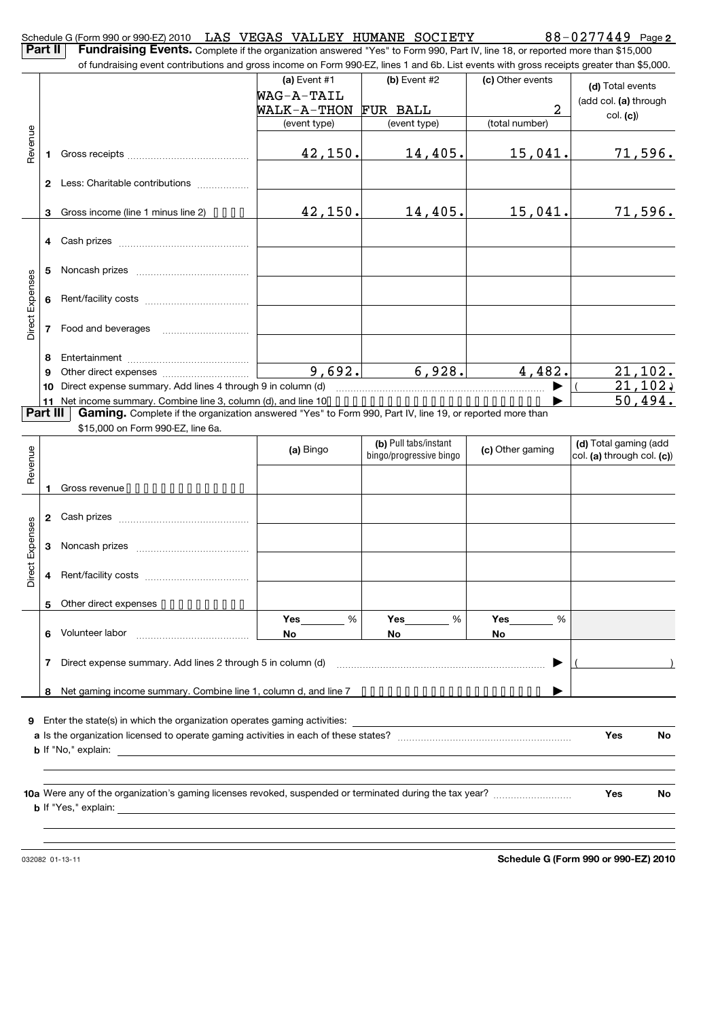| <b>Part II</b>         |                | Schedule G (Form 990 or 990-EZ) 2010 LAS VEGAS VALLEY HUMANE SOCIETY<br>Fundraising Events. Complete if the organization answered "Yes" to Form 990, Part IV, line 18, or reported more than \$15,000 |                     |                         |                  | $88 - 0277449$ Page 2      |
|------------------------|----------------|-------------------------------------------------------------------------------------------------------------------------------------------------------------------------------------------------------|---------------------|-------------------------|------------------|----------------------------|
|                        |                | of fundraising event contributions and gross income on Form 990-EZ, lines 1 and 6b. List events with gross receipts greater than \$5,000.                                                             |                     |                         |                  |                            |
|                        |                |                                                                                                                                                                                                       | (a) Event #1        | (b) Event #2            | (c) Other events |                            |
|                        |                |                                                                                                                                                                                                       | WAG-A-TAIL          |                         |                  | (d) Total events           |
|                        |                |                                                                                                                                                                                                       | WALK-A-THON         | FUR BALL                | 2                | (add col. (a) through      |
|                        |                |                                                                                                                                                                                                       | (event type)        | (event type)            | (total number)   | col. (c)                   |
|                        |                |                                                                                                                                                                                                       |                     |                         |                  |                            |
| Revenue                | 1              |                                                                                                                                                                                                       | 42, 150.            | 14,405.                 | 15,041.          | 71,596.                    |
|                        |                | 2 Less: Charitable contributions                                                                                                                                                                      |                     |                         |                  |                            |
|                        | 3              | Gross income (line 1 minus line 2) $\bullet \bullet \bullet \bullet$                                                                                                                                  | 42, 150.            | 14,405.                 | 15,041.          | 71,596.                    |
|                        | 4              | Cash prizes                                                                                                                                                                                           |                     |                         |                  |                            |
|                        | 5              |                                                                                                                                                                                                       |                     |                         |                  |                            |
|                        | 6              |                                                                                                                                                                                                       |                     |                         |                  |                            |
| <b>Direct Expenses</b> | $\overline{7}$ |                                                                                                                                                                                                       |                     |                         |                  |                            |
|                        | 8              |                                                                                                                                                                                                       |                     |                         |                  |                            |
|                        | 9              |                                                                                                                                                                                                       | $\overline{9,692.}$ | 6,928.                  | 4,482.           | $21,102$ .                 |
|                        | 10             | Direct expense summary. Add lines 4 through 9 in column (d)                                                                                                                                           |                     |                         |                  | 21, 102,                   |
|                        | 11             |                                                                                                                                                                                                       |                     |                         |                  | 50,494.                    |
| Part III               |                | Gaming. Complete if the organization answered "Yes" to Form 990, Part IV, line 19, or reported more than                                                                                              |                     |                         |                  |                            |
|                        |                | \$15,000 on Form 990-EZ, line 6a.                                                                                                                                                                     |                     |                         |                  |                            |
|                        |                |                                                                                                                                                                                                       | (a) Bingo           | (b) Pull tabs/instant   | (c) Other gaming | (d) Total gaming (add      |
|                        |                |                                                                                                                                                                                                       |                     | bingo/progressive bingo |                  | col. (a) through col. (c)) |
| Revenue                |                |                                                                                                                                                                                                       |                     |                         |                  |                            |
|                        | 1              | Gross revenue                                                                                                                                                                                         |                     |                         |                  |                            |
|                        |                |                                                                                                                                                                                                       |                     |                         |                  |                            |
| Expenses               | 3              |                                                                                                                                                                                                       |                     |                         |                  |                            |
| ă<br>ă                 | 4              |                                                                                                                                                                                                       |                     |                         |                  |                            |
|                        |                |                                                                                                                                                                                                       |                     |                         |                  |                            |
|                        | 5              | Other direct expenses                                                                                                                                                                                 |                     |                         |                  |                            |
|                        |                |                                                                                                                                                                                                       | $\%$<br>Yes         | %<br>Yes                | %<br>Yes         |                            |
|                        | 6              |                                                                                                                                                                                                       | No.                 | No                      | No               |                            |
|                        |                | 7 Direct expense summary. Add lines 2 through 5 in column (d)                                                                                                                                         |                     |                         |                  |                            |
|                        |                |                                                                                                                                                                                                       |                     |                         |                  |                            |
|                        | 8              | Net gaming income summary. Combine line 1, column d, and line 7 ••••••••••••••••••••••                                                                                                                |                     |                         |                  |                            |
|                        |                |                                                                                                                                                                                                       |                     |                         |                  |                            |
|                        |                |                                                                                                                                                                                                       |                     |                         |                  | Yes<br>No                  |
|                        |                |                                                                                                                                                                                                       |                     |                         |                  |                            |
|                        |                |                                                                                                                                                                                                       |                     |                         |                  |                            |
|                        |                |                                                                                                                                                                                                       |                     |                         |                  |                            |
|                        |                |                                                                                                                                                                                                       |                     |                         |                  | No<br>Yes                  |
|                        |                |                                                                                                                                                                                                       |                     |                         |                  |                            |
|                        |                |                                                                                                                                                                                                       |                     |                         |                  |                            |
|                        |                |                                                                                                                                                                                                       |                     |                         |                  |                            |

032082 01-13-11

**Schedule G (Form 990 or 990-EZ) 2010**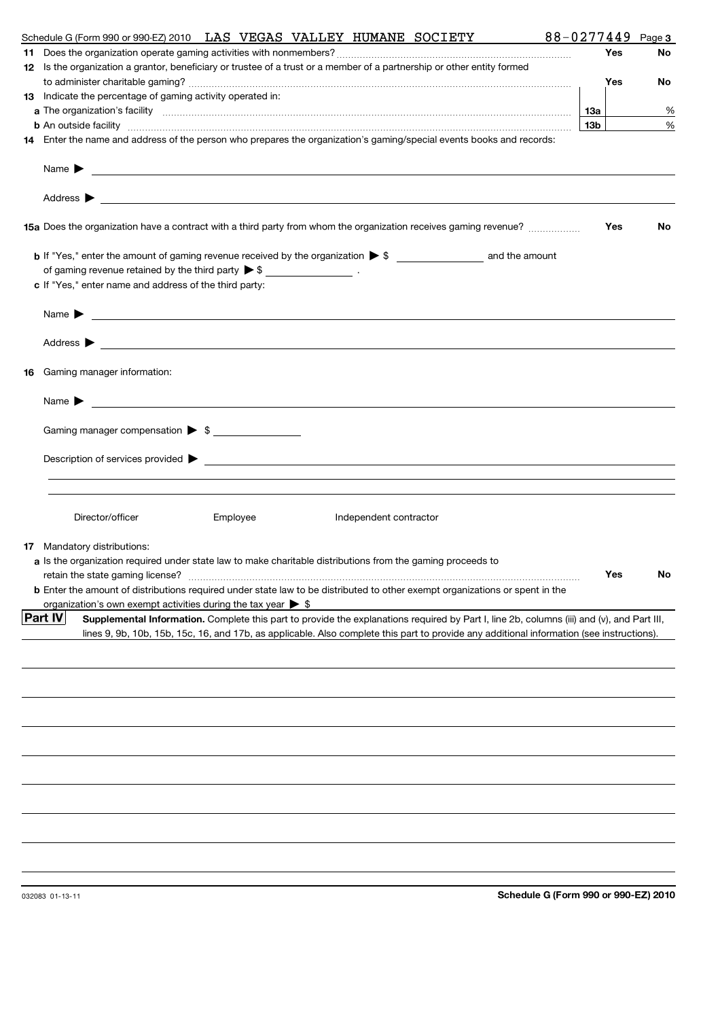|     | 88-0277449<br>Schedule G (Form 990 or 990-EZ) 2010 LAS VEGAS VALLEY HUMANE SOCIETY                                                                                                                                             |                 |     | Page 3    |
|-----|--------------------------------------------------------------------------------------------------------------------------------------------------------------------------------------------------------------------------------|-----------------|-----|-----------|
| 11. |                                                                                                                                                                                                                                |                 | Yes | No        |
|     | 12 Is the organization a grantor, beneficiary or trustee of a trust or a member of a partnership or other entity formed                                                                                                        |                 |     |           |
|     |                                                                                                                                                                                                                                |                 | Yes | No        |
|     | 13 Indicate the percentage of gaming activity operated in:                                                                                                                                                                     |                 |     |           |
|     |                                                                                                                                                                                                                                | 13a             |     | %         |
|     | <b>b</b> An outside facility <i>www.communicality www.communicality.communicality www.communicality www.communicality.communicality www.communicality.com</i>                                                                  | 13 <sub>b</sub> |     | %         |
|     | 14 Enter the name and address of the person who prepares the organization's gaming/special events books and records:                                                                                                           |                 |     |           |
|     | Name $\blacktriangleright$<br><u> 1989 - Johann Barbara, martin amerikan basar dan berasal dan berasal dalam basar dalam basar dalam basar dala</u>                                                                            |                 |     |           |
|     |                                                                                                                                                                                                                                |                 |     |           |
|     | 15a Does the organization have a contract with a third party from whom the organization receives gaming revenue?                                                                                                               |                 | Yes | <b>No</b> |
|     |                                                                                                                                                                                                                                |                 |     |           |
|     | of gaming revenue retained by the third party $\triangleright$ \$ _________________.<br>c If "Yes," enter name and address of the third party:                                                                                 |                 |     |           |
|     | Name $\blacktriangleright$ $\frac{\blacktriangleright}{\color{blue}\square\parallel}$                                                                                                                                          |                 |     |           |
|     |                                                                                                                                                                                                                                |                 |     |           |
|     |                                                                                                                                                                                                                                |                 |     |           |
| 16  | Gaming manager information:                                                                                                                                                                                                    |                 |     |           |
|     |                                                                                                                                                                                                                                |                 |     |           |
|     | Gaming manager compensation > \$                                                                                                                                                                                               |                 |     |           |
|     | Description of services provided to the contract of the contract of the contract of the contract of the contract of the contract of the contract of the contract of the contract of the contract of the contract of the contra |                 |     |           |
|     |                                                                                                                                                                                                                                |                 |     |           |
|     |                                                                                                                                                                                                                                |                 |     |           |
|     | Director/officer<br>Employee<br>Independent contractor                                                                                                                                                                         |                 |     |           |
|     | <b>17</b> Mandatory distributions:                                                                                                                                                                                             |                 |     |           |
|     | a Is the organization required under state law to make charitable distributions from the gaming proceeds to                                                                                                                    |                 |     |           |
|     |                                                                                                                                                                                                                                |                 | Yes | N٥        |
|     | <b>b</b> Enter the amount of distributions required under state law to be distributed to other exempt organizations or spent in the                                                                                            |                 |     |           |
|     | organization's own exempt activities during the tax year $\triangleright$ \$                                                                                                                                                   |                 |     |           |
|     | <b>Part IV</b><br>Supplemental Information. Complete this part to provide the explanations required by Part I, line 2b, columns (iii) and (v), and Part III,                                                                   |                 |     |           |
|     | lines 9, 9b, 10b, 15b, 15c, 16, and 17b, as applicable. Also complete this part to provide any additional information (see instructions).                                                                                      |                 |     |           |
|     |                                                                                                                                                                                                                                |                 |     |           |
|     |                                                                                                                                                                                                                                |                 |     |           |
|     |                                                                                                                                                                                                                                |                 |     |           |
|     |                                                                                                                                                                                                                                |                 |     |           |
|     |                                                                                                                                                                                                                                |                 |     |           |
|     |                                                                                                                                                                                                                                |                 |     |           |
|     |                                                                                                                                                                                                                                |                 |     |           |
|     |                                                                                                                                                                                                                                |                 |     |           |
|     |                                                                                                                                                                                                                                |                 |     |           |
|     |                                                                                                                                                                                                                                |                 |     |           |
|     |                                                                                                                                                                                                                                |                 |     |           |
|     |                                                                                                                                                                                                                                |                 |     |           |
|     |                                                                                                                                                                                                                                |                 |     |           |
|     | Schedule G (Form 990 or 990-EZ) 2010<br>032083 01-13-11                                                                                                                                                                        |                 |     |           |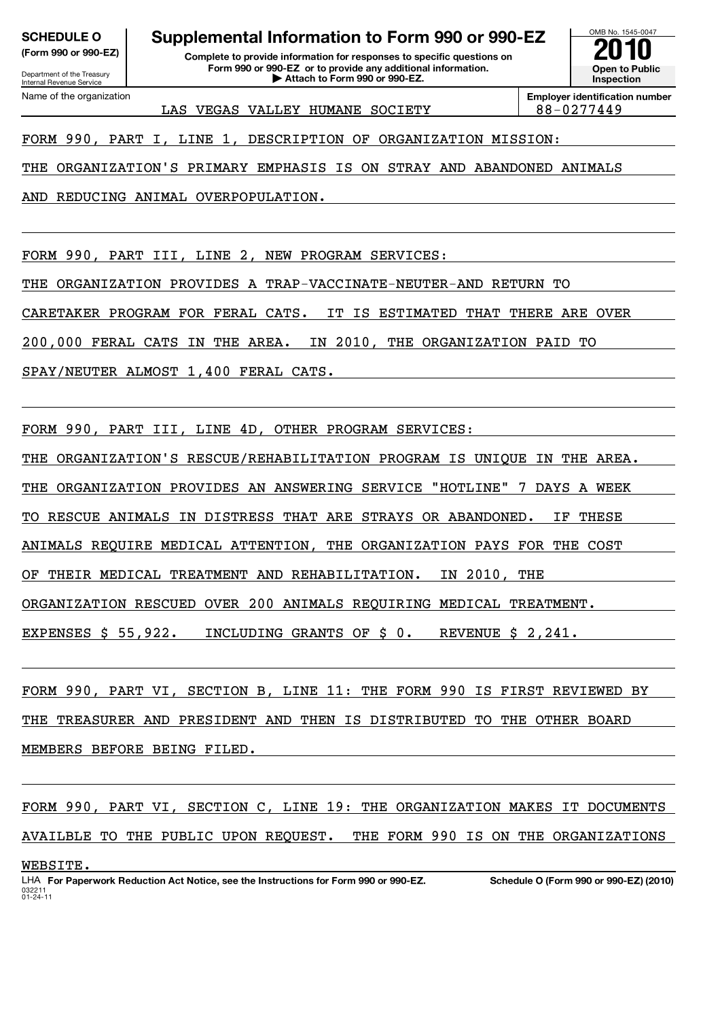Department of the Treasury Internal Revenue Service Name of the organization

# **SCHEDULE O Supplemental Information to Form 990 or 990-EZ**  $\overline{\smash{\big)}\,}$  **2010**

**(Form 990 or 990-EZ) Complete to provide information for responses to specific questions on Form 990 or 990-EZ or to provide any additional information. | Attach to Form 990 or 990-EZ.**

LAS VEGAS VALLEY HUMANE SOCIETY 88-0277449

**Employer identification number**

OMB No. 1545-0047

**Open to Public Inspection**

FORM 990, PART I, LINE 1, DESCRIPTION OF ORGANIZATION MISSION:

THE ORGANIZATION'S PRIMARY EMPHASIS IS ON STRAY AND ABANDONED ANIMALS

AND REDUCING ANIMAL OVERPOPULATION.

FORM 990, PART III, LINE 2, NEW PROGRAM SERVICES: THE ORGANIZATION PROVIDES A TRAP-VACCINATE-NEUTER-AND RETURN TO CARETAKER PROGRAM FOR FERAL CATS. IT IS ESTIMATED THAT THERE ARE OVER 200,000 FERAL CATS IN THE AREA. IN 2010, THE ORGANIZATION PAID TO SPAY/NEUTER ALMOST 1,400 FERAL CATS.

FORM 990, PART III, LINE 4D, OTHER PROGRAM SERVICES:

THE ORGANIZATION'S RESCUE/REHABILITATION PROGRAM IS UNIQUE IN THE AREA.

THE ORGANIZATION PROVIDES AN ANSWERING SERVICE "HOTLINE" 7 DAYS A WEEK

TO RESCUE ANIMALS IN DISTRESS THAT ARE STRAYS OR ABANDONED. IF THESE

ANIMALS REQUIRE MEDICAL ATTENTION, THE ORGANIZATION PAYS FOR THE COST

OF THEIR MEDICAL TREATMENT AND REHABILITATION. IN 2010, THE

ORGANIZATION RESCUED OVER 200 ANIMALS REQUIRING MEDICAL TREATMENT.

EXPENSES \$ 55,922. INCLUDING GRANTS OF \$ 0. REVENUE \$ 2,241.

FORM 990, PART VI, SECTION B, LINE 11: THE FORM 990 IS FIRST REVIEWED BY THE TREASURER AND PRESIDENT AND THEN IS DISTRIBUTED TO THE OTHER BOARD MEMBERS BEFORE BEING FILED.

FORM 990, PART VI, SECTION C, LINE 19: THE ORGANIZATION MAKES IT DOCUMENTS AVAILBLE TO THE PUBLIC UPON REQUEST. THE FORM 990 IS ON THE ORGANIZATIONS